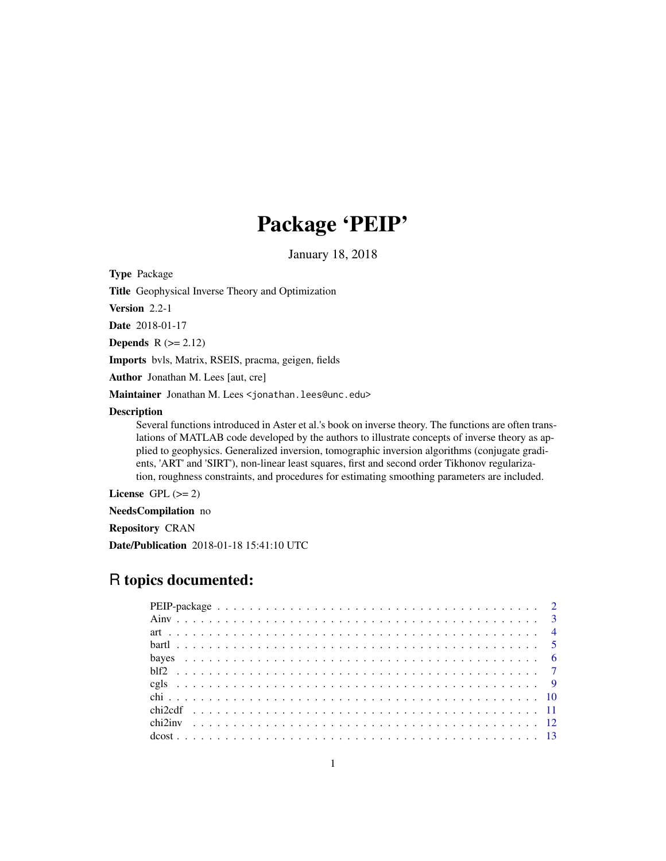# Package 'PEIP'

January 18, 2018

Type Package

Title Geophysical Inverse Theory and Optimization

Version 2.2-1

Date 2018-01-17

Depends  $R (= 2.12)$ 

Imports bvls, Matrix, RSEIS, pracma, geigen, fields

Author Jonathan M. Lees [aut, cre]

Maintainer Jonathan M. Lees <jonathan.lees@unc.edu>

### Description

Several functions introduced in Aster et al.'s book on inverse theory. The functions are often translations of MATLAB code developed by the authors to illustrate concepts of inverse theory as applied to geophysics. Generalized inversion, tomographic inversion algorithms (conjugate gradients, 'ART' and 'SIRT'), non-linear least squares, first and second order Tikhonov regularization, roughness constraints, and procedures for estimating smoothing parameters are included.

License GPL  $(>= 2)$ 

NeedsCompilation no

Repository CRAN

Date/Publication 2018-01-18 15:41:10 UTC

# R topics documented: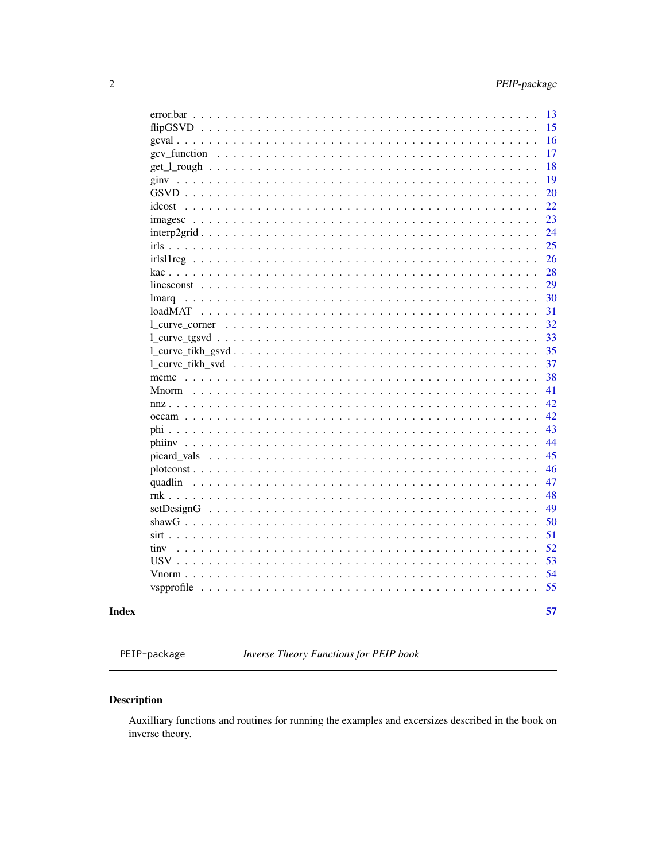<span id="page-1-0"></span>

|                                                                                                                                                                                                                                                                      | 13 |
|----------------------------------------------------------------------------------------------------------------------------------------------------------------------------------------------------------------------------------------------------------------------|----|
| $flipGSVD$                                                                                                                                                                                                                                                           | 15 |
| $\mathbf{r}$                                                                                                                                                                                                                                                         | 16 |
| gcv function<br>$\ddot{\phantom{a}}$<br>$\cdot$                                                                                                                                                                                                                      | 17 |
|                                                                                                                                                                                                                                                                      | 18 |
| ginv<br>$\mathbf{r}$ . The state of the state $\mathbf{r}$<br>$\mathbf{1}$ $\mathbf{1}$ $\mathbf{1}$ $\mathbf{1}$                                                                                                                                                    | 19 |
| $GSVD$<br>$\sim$ $\sim$ $\sim$ $\sim$<br>$\mathbb{R}^n$ . The set of the set of $\mathbb{R}^n$<br>$\ddot{\phantom{0}}$<br>$\mathbf{r}$ . $\mathbf{r}$<br>$\ddot{\phantom{0}}$                                                                                        | 20 |
| $idcost$<br>$\sim$ $\sim$ $\sim$ $\sim$ $\sim$ $\sim$ $\sim$                                                                                                                                                                                                         | 22 |
| imagesc                                                                                                                                                                                                                                                              | 23 |
| $interp2grid$<br>$\ddot{\phantom{0}}$<br>$\ddot{\phantom{1}}$<br>$\overline{a}$                                                                                                                                                                                      | 24 |
| $irls \ldots \ldots \ldots$<br>$\ddot{\phantom{0}}$<br>$\cdot$<br>$\ddot{\phantom{1}}$                                                                                                                                                                               | 25 |
| $irlsllreg \ldots$<br>$\ddot{\phantom{0}}$<br>$\sim$ $\sim$<br>$\sim$<br>$\sim$                                                                                                                                                                                      | 26 |
| kac<br>$\mathbf{r}$ . The state of the state $\mathbf{r}$                                                                                                                                                                                                            | 28 |
| $\mathbf{r}$                                                                                                                                                                                                                                                         | 29 |
| lmarq                                                                                                                                                                                                                                                                | 30 |
| loadMAT<br>$\ddot{\phantom{0}}$                                                                                                                                                                                                                                      | 31 |
| 1 curve_corner<br>$\ddot{\phantom{a}}$                                                                                                                                                                                                                               | 32 |
| $\ddot{\phantom{a}}$<br>$\ddot{\phantom{a}}$<br>$\cdot$                                                                                                                                                                                                              | 33 |
| l_curve_tikh_gsvd                                                                                                                                                                                                                                                    | 35 |
| l curve tikh svd<br>$\ddots$                                                                                                                                                                                                                                         | 37 |
|                                                                                                                                                                                                                                                                      | 38 |
| mcmc $\ldots$<br>$Mnorm \dots$                                                                                                                                                                                                                                       | 41 |
|                                                                                                                                                                                                                                                                      | 42 |
| nnz<br>$\overline{a}$                                                                                                                                                                                                                                                |    |
| $\overline{a}$<br>$\overline{\phantom{a}}$<br>$\overline{\phantom{a}}$                                                                                                                                                                                               | 42 |
| $\mathbf{r}$                                                                                                                                                                                                                                                         | 43 |
|                                                                                                                                                                                                                                                                      | 44 |
| picard vals                                                                                                                                                                                                                                                          | 45 |
|                                                                                                                                                                                                                                                                      | 46 |
| quadlin                                                                                                                                                                                                                                                              | 47 |
| $rnk$                                                                                                                                                                                                                                                                | 48 |
| setDesignG<br>$\ddot{\phantom{a}}$                                                                                                                                                                                                                                   | 49 |
| shaw $G \ldots$ .<br>.<br>$\ddot{\phantom{0}}$<br>$\ddot{\phantom{1}}$<br>$\ddot{\phantom{1}}$<br>$\ddot{\phantom{0}}$<br>$\ddot{\phantom{1}}$<br>$\ddot{\phantom{a}}$                                                                                               | 50 |
| $sirt \ldots$ .<br>$\ddot{\phantom{0}}$<br>$\ddot{\phantom{a}}$<br>.                                                                                                                                                                                                 | 51 |
| tiny<br>$\ddots$<br>$\ddot{\phantom{0}}$<br>.                                                                                                                                                                                                                        | 52 |
| $USV$<br>$\ddot{\phantom{0}}$<br>$\ddot{\phantom{a}}$<br>$\ddot{\phantom{0}}$<br>$\mathbf{r}$ . $\mathbf{r}$ . $\mathbf{r}$ . $\mathbf{r}$<br>$\sim$ $\sim$ $\sim$ $\sim$<br>$\ddot{\phantom{0}}$                                                                    | 53 |
| Vnorm $\ldots$<br>$\sim$ $\sim$                                                                                                                                                                                                                                      | 54 |
| vspprofile<br>.<br>$\mathbf{r}$ . The set of the set of the set of the set of the set of the set of the set of the set of the set of the set of the set of the set of the set of the set of the set of the set of the set of the set of the set of t<br>$\mathbf{L}$ | 55 |
|                                                                                                                                                                                                                                                                      |    |
|                                                                                                                                                                                                                                                                      | 57 |

# **Index**

PEIP-package

Inverse Theory Functions for PEIP book

# **Description**

Auxilliary functions and routines for running the examples and excersizes described in the book on inverse theory.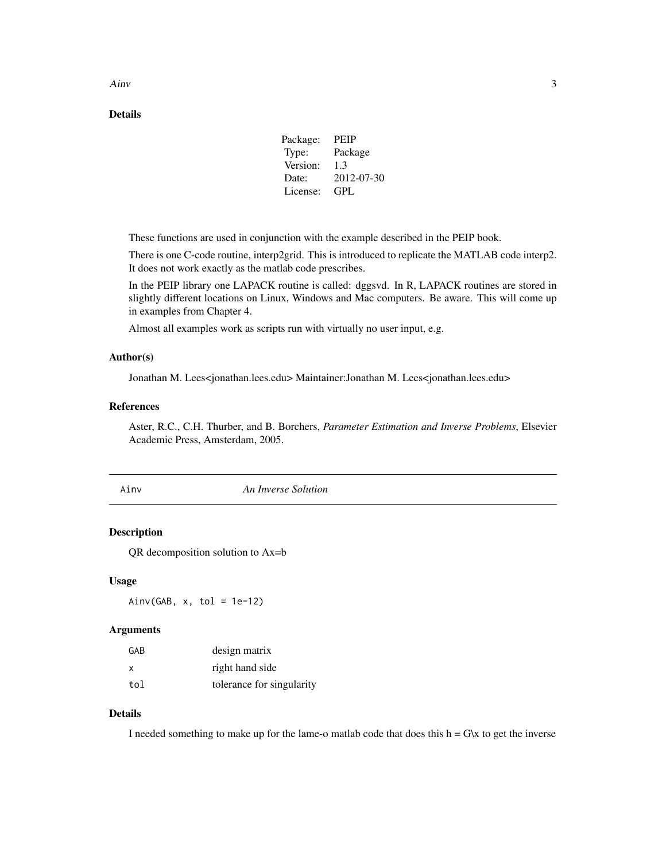<span id="page-2-0"></span> $A$ inv  $3$ 

### Details

| Package: | <b>PEIP</b> |
|----------|-------------|
| Type:    | Package     |
| Version: | 1.3         |
| Date:    | 2012-07-30  |
| License: | GPL         |
|          |             |

These functions are used in conjunction with the example described in the PEIP book.

There is one C-code routine, interp2grid. This is introduced to replicate the MATLAB code interp2. It does not work exactly as the matlab code prescribes.

In the PEIP library one LAPACK routine is called: dggsvd. In R, LAPACK routines are stored in slightly different locations on Linux, Windows and Mac computers. Be aware. This will come up in examples from Chapter 4.

Almost all examples work as scripts run with virtually no user input, e.g.

#### Author(s)

Jonathan M. Lees<jonathan.lees.edu> Maintainer:Jonathan M. Lees<jonathan.lees.edu>

#### References

Aster, R.C., C.H. Thurber, and B. Borchers, *Parameter Estimation and Inverse Problems*, Elsevier Academic Press, Amsterdam, 2005.

Ainv *An Inverse Solution*

### Description

QR decomposition solution to Ax=b

#### Usage

 $Ainv(GAB, x, tol = 1e-12)$ 

#### Arguments

| GAB | design matrix             |
|-----|---------------------------|
| x   | right hand side           |
| tol | tolerance for singularity |

### Details

I needed something to make up for the lame-o matlab code that does this  $h = G\kappa$  to get the inverse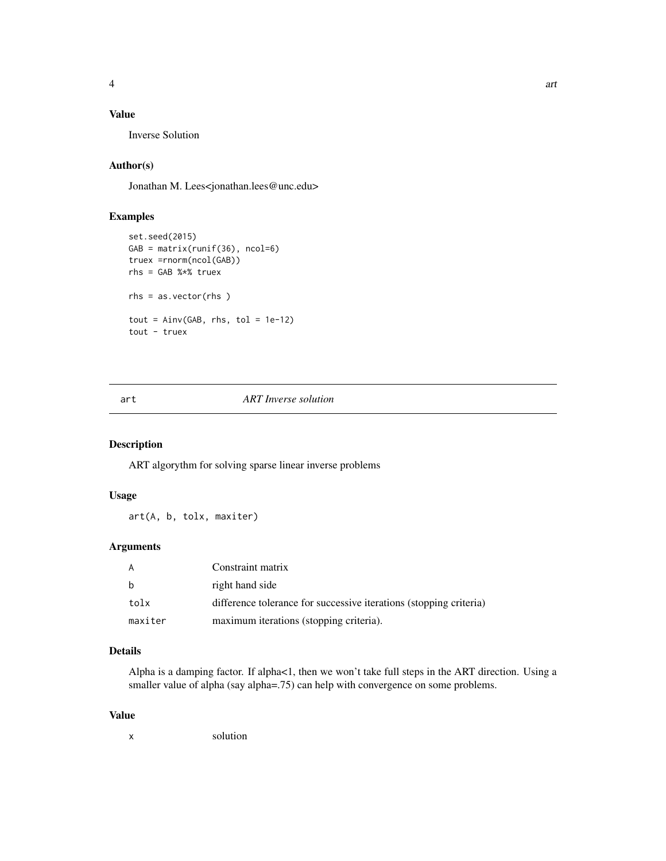# <span id="page-3-0"></span>Value

Inverse Solution

# Author(s)

Jonathan M. Lees<jonathan.lees@unc.edu>

### Examples

```
set.seed(2015)
GAB = matrix(runif(36), ncol=6)
truex =rnorm(ncol(GAB))
rhs = GAB %*% truex
rhs = as.vector(rhs )
tout = Ainv(GAB, rhs, tol = 1e-12)tout - truex
```
### art *ART Inverse solution*

#### Description

ART algorythm for solving sparse linear inverse problems

### Usage

art(A, b, tolx, maxiter)

# Arguments

|         | Constraint matrix                                                  |
|---------|--------------------------------------------------------------------|
|         | right hand side                                                    |
| tolx    | difference tolerance for successive iterations (stopping criteria) |
| maxiter | maximum iterations (stopping criteria).                            |

### Details

Alpha is a damping factor. If alpha<1, then we won't take full steps in the ART direction. Using a smaller value of alpha (say alpha=.75) can help with convergence on some problems.

#### Value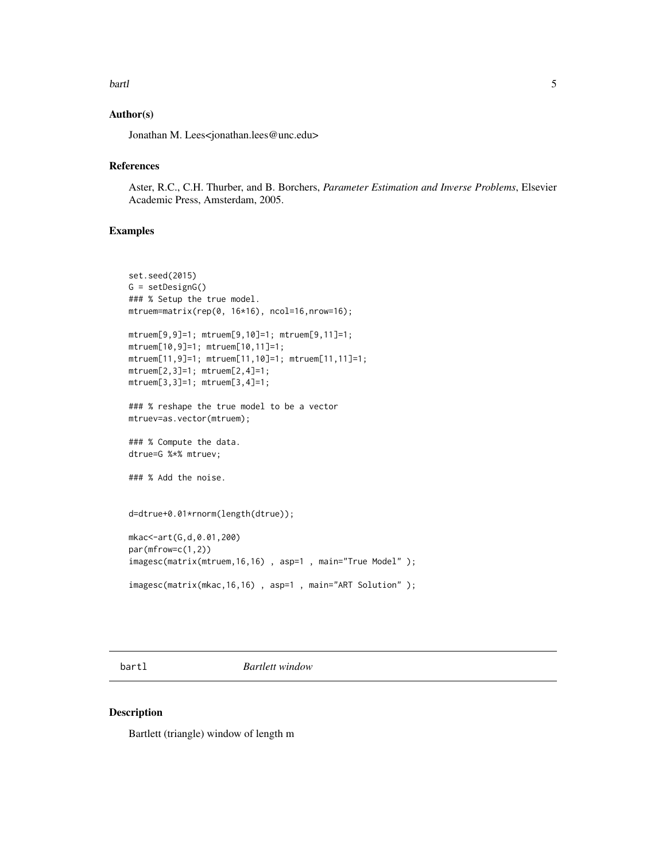#### <span id="page-4-0"></span>bartl 5 and 5 and 5 and 5 and 5 and 5 and 5 and 5 and 5 and 5 and 5 and 5 and 5 and 5 and 5 and 5 and 5 and 5 and 5 and 5 and 5 and 5 and 5 and 5 and 5 and 5 and 5 and 5 and 5 and 5 and 5 and 5 and 5 and 5 and 5 and 5 and

### Author(s)

Jonathan M. Lees<jonathan.lees@unc.edu>

#### References

Aster, R.C., C.H. Thurber, and B. Borchers, *Parameter Estimation and Inverse Problems*, Elsevier Academic Press, Amsterdam, 2005.

### Examples

```
set.seed(2015)
G = setDesignG()
### % Setup the true model.
mtruem=matrix(rep(0, 16*16), ncol=16,nrow=16);
mtruem[9,9]=1; mtruem[9,10]=1; mtruem[9,11]=1;
mtruem[10,9]=1; mtruem[10,11]=1;
mtruem[11,9]=1; mtruem[11,10]=1; mtruem[11,11]=1;
mtruem[2,3]=1; mtruem[2,4]=1;
mtruem[3,3]=1; mtruem[3,4]=1;
### % reshape the true model to be a vector
mtruev=as.vector(mtruem);
### % Compute the data.
dtrue=G %*% mtruev;
### % Add the noise.
d=dtrue+0.01*rnorm(length(dtrue));
mkac<-art(G,d,0.01,200)
par(mfrow=c(1,2))
imagesc(matrix(mtruem,16,16) , asp=1 , main="True Model" );
imagesc(matrix(mkac,16,16) , asp=1 , main="ART Solution" );
```
bartl *Bartlett window*

### Description

Bartlett (triangle) window of length m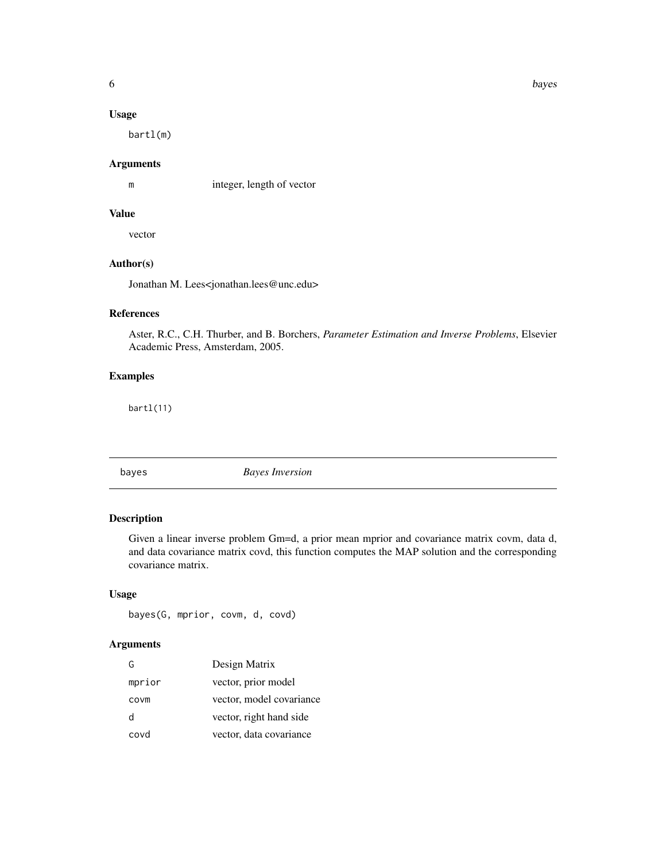### <span id="page-5-0"></span>Usage

bartl(m)

### Arguments

m integer, length of vector

### Value

vector

# Author(s)

Jonathan M. Lees<jonathan.lees@unc.edu>

### References

Aster, R.C., C.H. Thurber, and B. Borchers, *Parameter Estimation and Inverse Problems*, Elsevier Academic Press, Amsterdam, 2005.

### Examples

bartl(11)

bayes *Bayes Inversion*

### Description

Given a linear inverse problem Gm=d, a prior mean mprior and covariance matrix covm, data d, and data covariance matrix covd, this function computes the MAP solution and the corresponding covariance matrix.

### Usage

bayes(G, mprior, covm, d, covd)

### Arguments

| G      | Design Matrix            |
|--------|--------------------------|
| mprior | vector, prior model      |
| covm   | vector, model covariance |
| d      | vector, right hand side  |
| covd   | vector, data covariance  |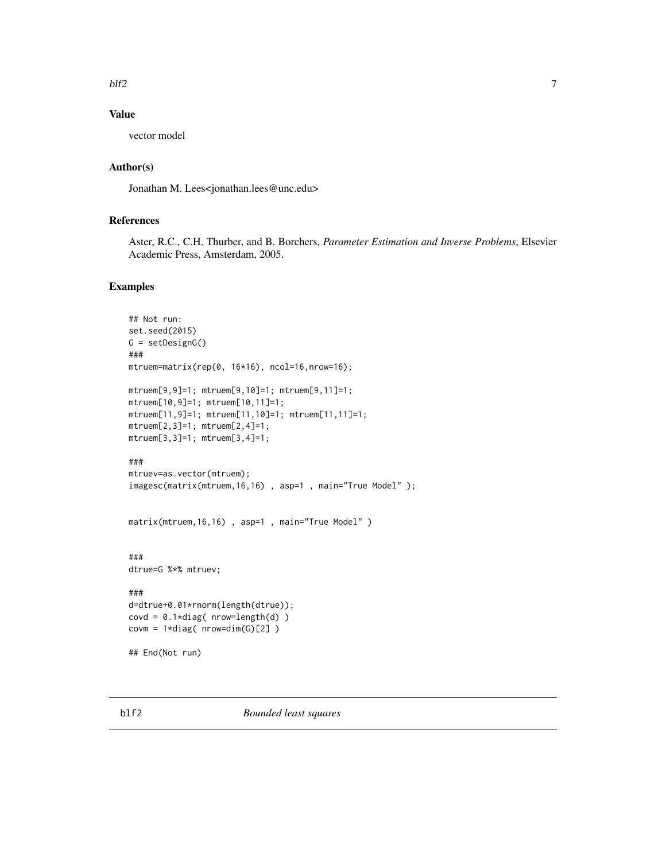#### <span id="page-6-0"></span> $blf2$  7

### Value

vector model

# Author(s)

Jonathan M. Lees<jonathan.lees@unc.edu>

### References

Aster, R.C., C.H. Thurber, and B. Borchers, *Parameter Estimation and Inverse Problems*, Elsevier Academic Press, Amsterdam, 2005.

### Examples

```
## Not run:
set.seed(2015)
G = setDesignG()
###
mtruem=matrix(rep(0, 16*16), ncol=16,nrow=16);
mtruem[9,9]=1; mtruem[9,10]=1; mtruem[9,11]=1;
mtruem[10,9]=1; mtruem[10,11]=1;
mtruem[11,9]=1; mtruem[11,10]=1; mtruem[11,11]=1;
mtruem[2,3]=1; mtruem[2,4]=1;
mtruem[3,3]=1; mtruem[3,4]=1;
###
mtruev=as.vector(mtruem);
imagesc(matrix(mtruem,16,16) , asp=1 , main="True Model" );
matrix(mtruem,16,16), asp=1, main="True Model")
###
dtrue=G %*% mtruev;
###
d=dtrue+0.01*rnorm(length(dtrue));
\text{covd} = 0.1 \star \text{diag}(\text{nrow=length}(d))covm = 1 * diag( nrow=dim(G)[2] )## End(Not run)
```
blf2 *Bounded least squares*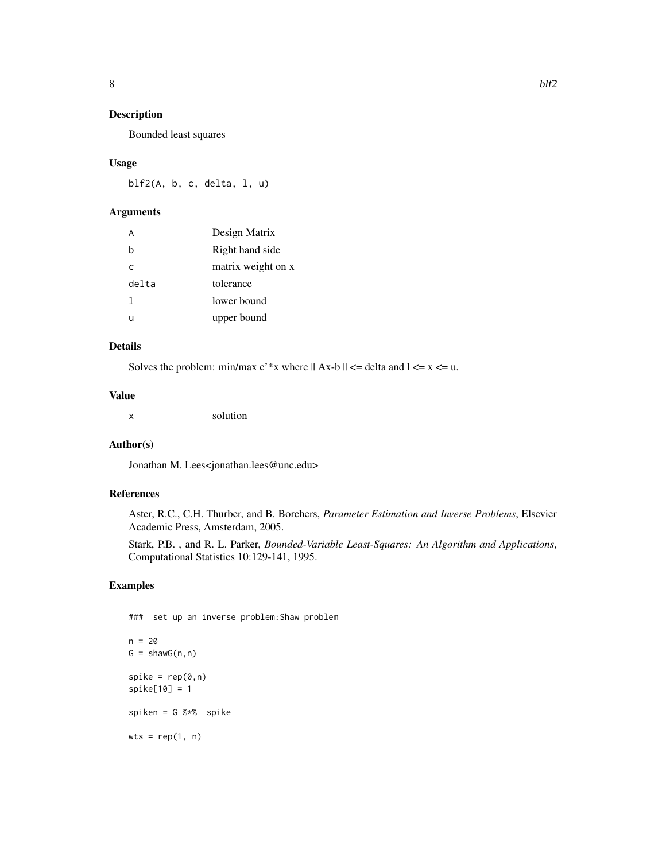Bounded least squares

#### Usage

 $blf2(A, b, c, delta, 1, u)$ 

### Arguments

| A            | Design Matrix      |
|--------------|--------------------|
| b            | Right hand side    |
| $\mathsf{C}$ | matrix weight on x |
| delta        | tolerance          |
| 1            | lower bound        |
| u            | upper bound        |

# Details

Solves the problem: min/max  $c^*$ x where  $|| Ax-b || \leq$  delta and  $1 \leq x \leq u$ .

### Value

x solution

#### Author(s)

Jonathan M. Lees<jonathan.lees@unc.edu>

### References

Aster, R.C., C.H. Thurber, and B. Borchers, *Parameter Estimation and Inverse Problems*, Elsevier Academic Press, Amsterdam, 2005.

Stark, P.B. , and R. L. Parker, *Bounded-Variable Least-Squares: An Algorithm and Applications*, Computational Statistics 10:129-141, 1995.

### Examples

 $wts = rep(1, n)$ 

```
### set up an inverse problem:Shaw problem
n = 20G = \text{shawG}(n, n)spike = rep(0, n)spike[10] = 1
spiken = G %*% spike
```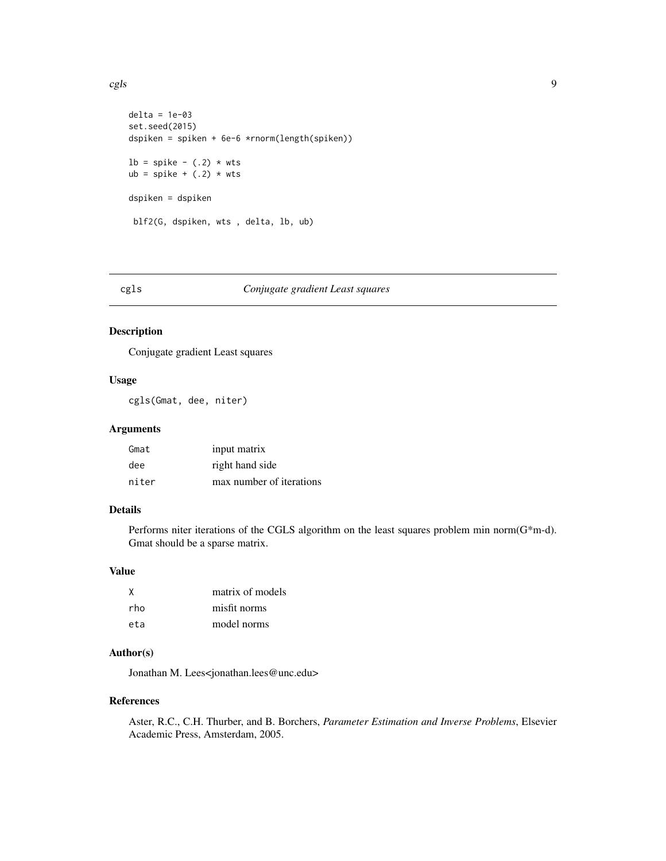```
delta = 1e-03
set.seed(2015)
dspiken = spiken + 6e-6 *rnorm(length(spiken))
lb = spike - (.2) * wts
ub = spike + (.2) * wts
dspiken = dspiken
 blf2(G, dspiken, wts , delta, lb, ub)
```

| M.<br>۰, | × |
|----------|---|

# cgls *Conjugate gradient Least squares*

### Description

Conjugate gradient Least squares

### Usage

cgls(Gmat, dee, niter)

### Arguments

| Gmat  | input matrix             |
|-------|--------------------------|
| dee   | right hand side          |
| niter | max number of iterations |

# Details

Performs niter iterations of the CGLS algorithm on the least squares problem min norm(G\*m-d). Gmat should be a sparse matrix.

#### Value

| X   | matrix of models |
|-----|------------------|
| rho | misfit norms     |
| eta | model norms      |

# Author(s)

Jonathan M. Lees<jonathan.lees@unc.edu>

### References

Aster, R.C., C.H. Thurber, and B. Borchers, *Parameter Estimation and Inverse Problems*, Elsevier Academic Press, Amsterdam, 2005.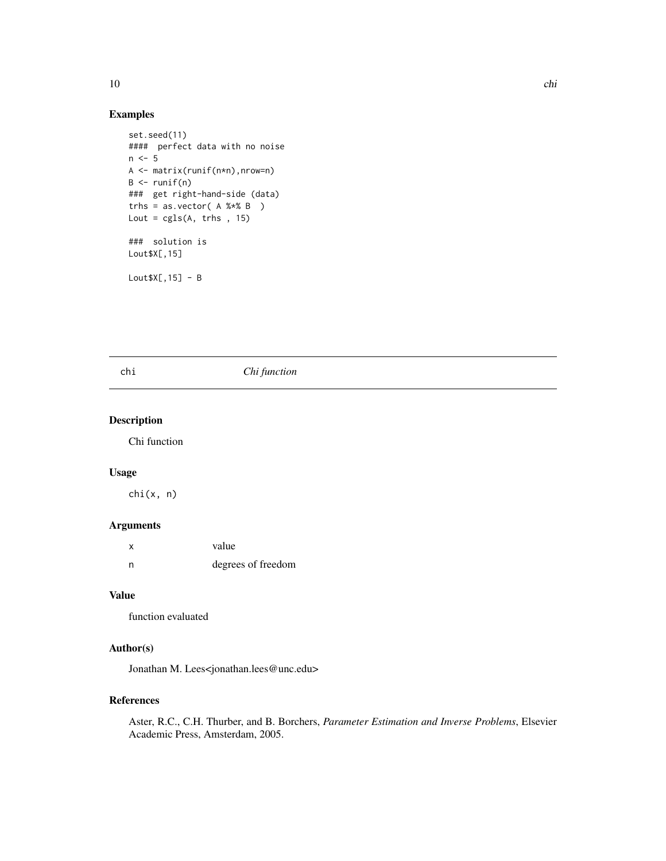### Examples

```
set.seed(11)
#### perfect data with no noise
n < -5A <- matrix(runif(n*n),nrow=n)
B \leftarrow runif(n)### get right-hand-side (data)
trhs = as.vector(A %*8 B)Lout = cgls(A, trhs , 15)### solution is
Lout$X[,15]
```
 $Lout$X[,15] - B$ 

#### chi *Chi function*

# Description

Chi function

#### Usage

chi(x, n)

#### Arguments

| $\boldsymbol{\mathsf{x}}$ | value              |
|---------------------------|--------------------|
| n                         | degrees of freedom |

### Value

function evaluated

#### Author(s)

Jonathan M. Lees<jonathan.lees@unc.edu>

#### References

Aster, R.C., C.H. Thurber, and B. Borchers, *Parameter Estimation and Inverse Problems*, Elsevier Academic Press, Amsterdam, 2005.

<span id="page-9-0"></span>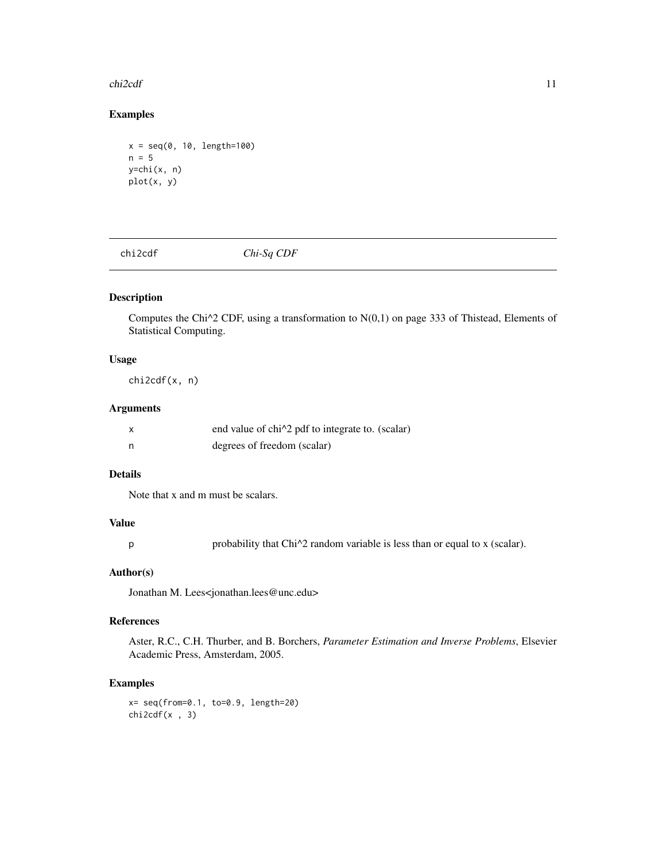#### <span id="page-10-0"></span> $ch2cdf$  11

### Examples

```
x = seq(0, 10, length=100)n = 5y=chi(x, n)
plot(x, y)
```
chi2cdf *Chi-Sq CDF*

### Description

Computes the Chi $\alpha$ 2 CDF, using a transformation to N(0,1) on page 333 of Thistead, Elements of Statistical Computing.

### Usage

chi2cdf(x, n)

### Arguments

|   | end value of chi <sup><math>\lambda</math></sup> 2 pdf to integrate to. (scalar) |
|---|----------------------------------------------------------------------------------|
| n | degrees of freedom (scalar)                                                      |

### Details

Note that x and m must be scalars.

### Value

p probability that Chi^2 random variable is less than or equal to x (scalar).

#### Author(s)

Jonathan M. Lees<jonathan.lees@unc.edu>

### References

Aster, R.C., C.H. Thurber, and B. Borchers, *Parameter Estimation and Inverse Problems*, Elsevier Academic Press, Amsterdam, 2005.

### Examples

x= seq(from=0.1, to=0.9, length=20)  $chizcdf(x , 3)$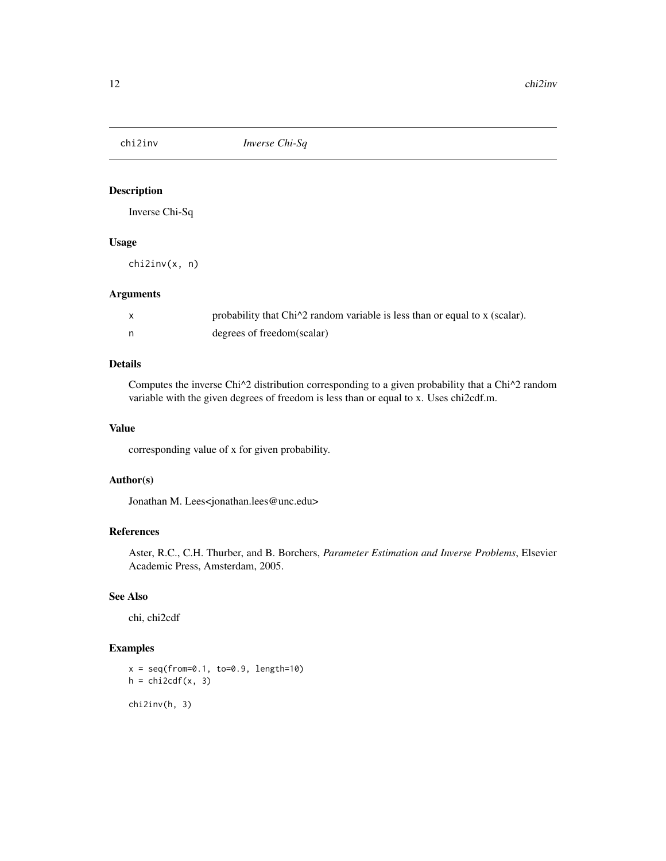<span id="page-11-0"></span>

Inverse Chi-Sq

### Usage

chi2inv(x, n)

### Arguments

| $\mathsf{x}$ | probability that Chi <sup><math>\lambda</math></sup> random variable is less than or equal to x (scalar). |
|--------------|-----------------------------------------------------------------------------------------------------------|
| n,           | degrees of freedom(scalar)                                                                                |

### Details

Computes the inverse Chi^2 distribution corresponding to a given probability that a Chi^2 random variable with the given degrees of freedom is less than or equal to x. Uses chi2cdf.m.

### Value

corresponding value of x for given probability.

### Author(s)

Jonathan M. Lees<jonathan.lees@unc.edu>

# References

Aster, R.C., C.H. Thurber, and B. Borchers, *Parameter Estimation and Inverse Problems*, Elsevier Academic Press, Amsterdam, 2005.

#### See Also

chi, chi2cdf

### Examples

```
x = seq(from=0.1, to=0.9, length=10)h = \text{chi2cdf}(x, 3)chi2inv(h, 3)
```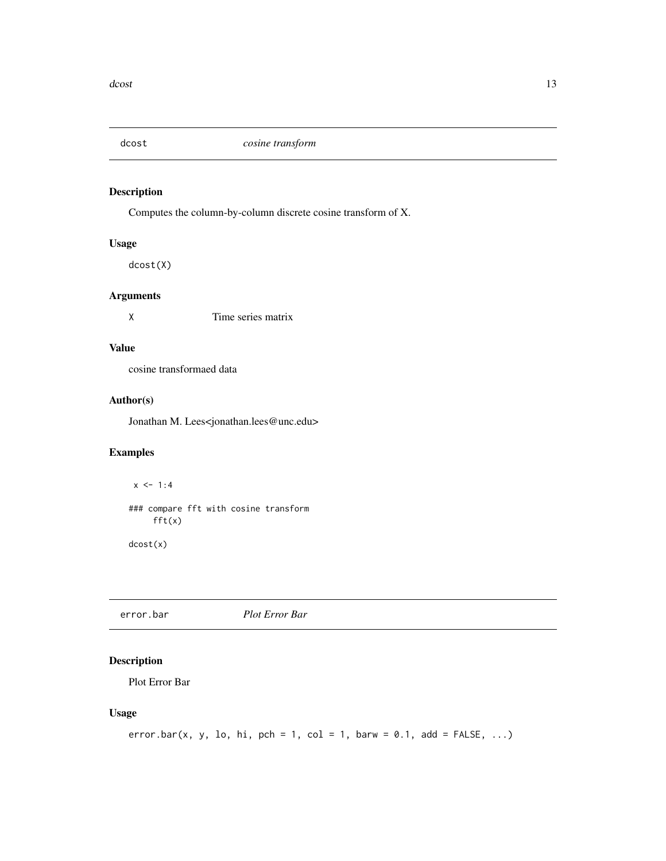<span id="page-12-0"></span>

Computes the column-by-column discrete cosine transform of X.

#### Usage

dcost(X)

### Arguments

X Time series matrix

### Value

cosine transformaed data

### Author(s)

Jonathan M. Lees<jonathan.lees@unc.edu>

### Examples

 $x \le -1:4$ ### compare fft with cosine transform  $fft(x)$ 

dcost(x)

error.bar *Plot Error Bar*

### Description

Plot Error Bar

#### Usage

```
error.bar(x, y, lo, hi, pch = 1, col = 1, barw = 0.1, add = FALSE, ...)
```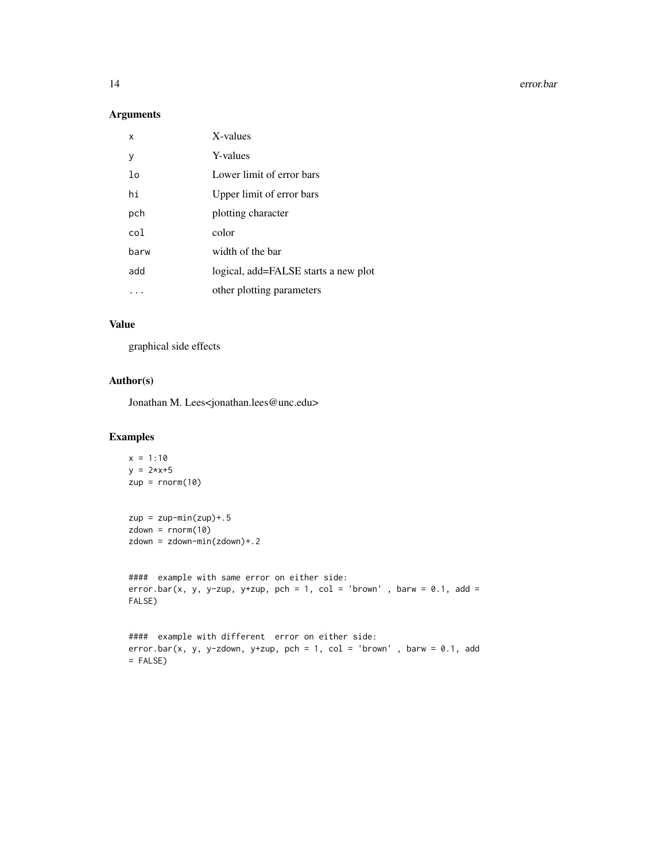14 error.bar

#### Arguments

| x              | X-values                             |
|----------------|--------------------------------------|
| у              | Y-values                             |
| 1 <sub>o</sub> | Lower limit of error bars            |
| hi             | Upper limit of error bars            |
| pch            | plotting character                   |
| col            | color                                |
| barw           | width of the bar                     |
| add            | logical, add=FALSE starts a new plot |
|                | other plotting parameters            |

#### Value

graphical side effects

### Author(s)

Jonathan M. Lees<jonathan.lees@unc.edu>

### Examples

```
x = 1:10y = 2*x+5zup = rnorm(10)zup = zup-min(zup) + .5zdown = rnorm(10)zdown = zdown-min(zdown)+.2
#### example with same error on either side:
error.bar(x, y, y-zup, y+zup, pch = 1, col = 'brown', barw = 0.1, add =
FALSE)
#### example with different error on either side:
error.bar(x, y, y-zdown, y+zup, pch = 1, col = 'brown', barw = 0.1, add
= FALSE)
```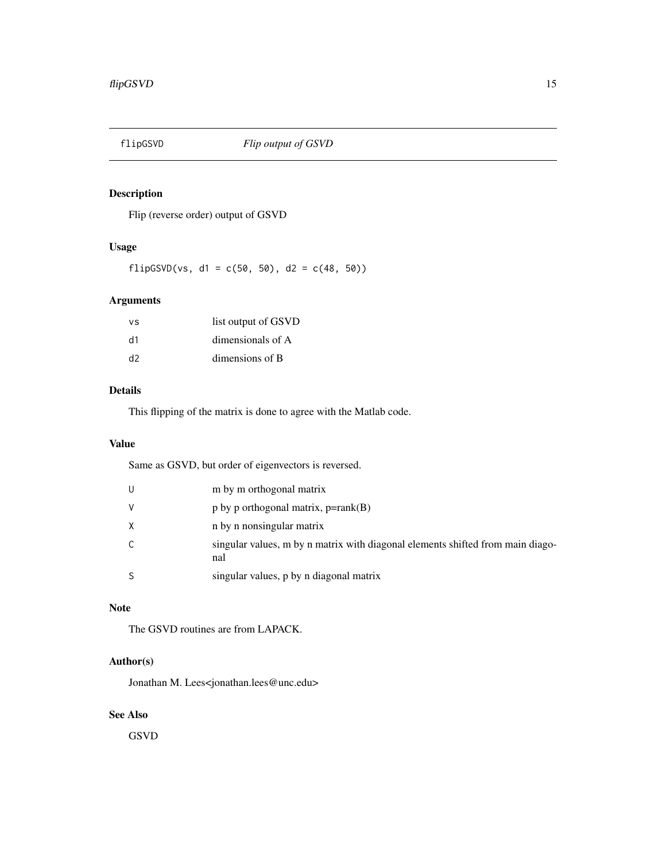<span id="page-14-0"></span>

Flip (reverse order) output of GSVD

### Usage

flipGSVD(vs, d1 =  $c(50, 50)$ , d2 =  $c(48, 50)$ )

# Arguments

| ٧S | list output of GSVD |
|----|---------------------|
| d1 | dimensionals of A   |
| d2 | dimensions of B     |

#### Details

This flipping of the matrix is done to agree with the Matlab code.

### Value

Same as GSVD, but order of eigenvectors is reversed.

| U  | m by m orthogonal matrix                                                              |
|----|---------------------------------------------------------------------------------------|
| v  | $p$ by p orthogonal matrix, $p = rank(B)$                                             |
| Χ  | n by n nonsingular matrix                                                             |
| C. | singular values, m by n matrix with diagonal elements shifted from main diago-<br>nal |
| S  | singular values, p by n diagonal matrix                                               |

### Note

The GSVD routines are from LAPACK.

### Author(s)

Jonathan M. Lees<jonathan.lees@unc.edu>

### See Also

GSVD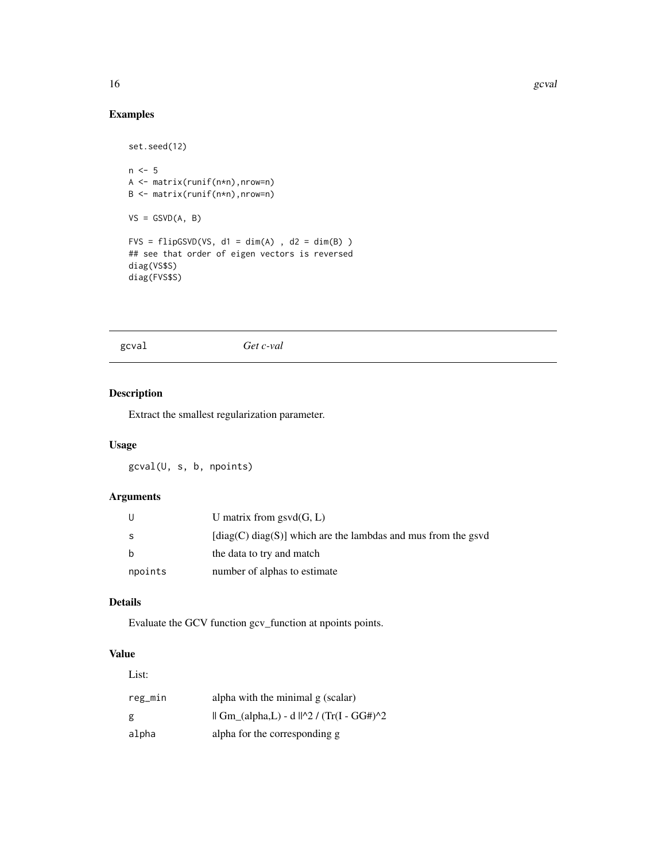### Examples

```
set.seed(12)
n < -5A <- matrix(runif(n*n),nrow=n)
B <- matrix(runif(n*n),nrow=n)
VS = GSVD(A, B)FVS = flipGSVD(VS, d1 = dim(A), d2 = dim(B))## see that order of eigen vectors is reversed
diag(VS$S)
diag(FVS$S)
```
### gcval *Get c-val*

### Description

Extract the smallest regularization parameter.

### Usage

gcval(U, s, b, npoints)

#### Arguments

| U       | U matrix from $gsvd(G, L)$                                                  |
|---------|-----------------------------------------------------------------------------|
| S       | $\lceil diag(C) diag(S) \rceil$ which are the lambdas and mus from the gsvd |
| b       | the data to try and match                                                   |
| npoints | number of alphas to estimate                                                |

### Details

Evaluate the GCV function gcv\_function at npoints points.

### Value

List: reg\_min alpha with the minimal g (scalar) g  $|| \text{Gm}_{(alpha,L) - d}||^2 / (Tr(I - GG#)^2)$ alpha alpha for the corresponding g

<span id="page-15-0"></span>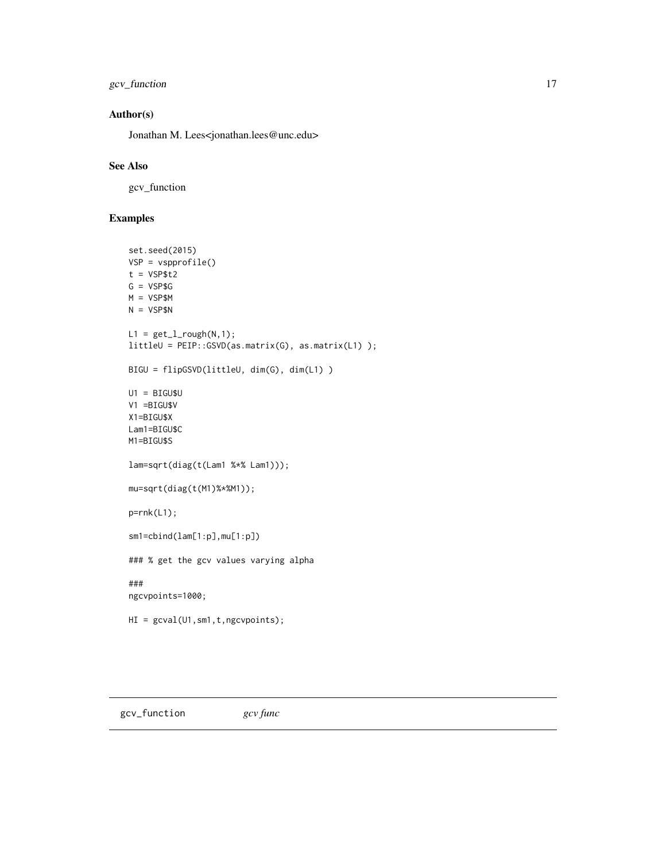<span id="page-16-0"></span>gcv\_function 17

### Author(s)

Jonathan M. Lees<jonathan.lees@unc.edu>

#### See Also

gcv\_function

# Examples

```
set.seed(2015)
VSP = vspprofile()
t = VSP$t2
G = VSP$G
M = VSP$M
N = VSP$NL1 = get_l\_rough(N,1);littleU = PEIP::GSVD(as.matrix(G), as.matrix(L1) );
BIGU = flipGSVD(littleU, dim(G), dim(L1) )
UI = BIGU$UV1 =BIGU$V
X1=BIGU$X
Lam1=BIGU$C
M1=BIGU$S
lam=sqrt(diag(t(Lam1 %*% Lam1)));
mu=sqrt(diag(t(M1)%*%M1));
p=rnk(L1);
sm1=cbind(lam[1:p],mu[1:p])
### % get the gcv values varying alpha
###
ngcvpoints=1000;
HI = gcval(U1,sm1,t,ngcvpoints);
```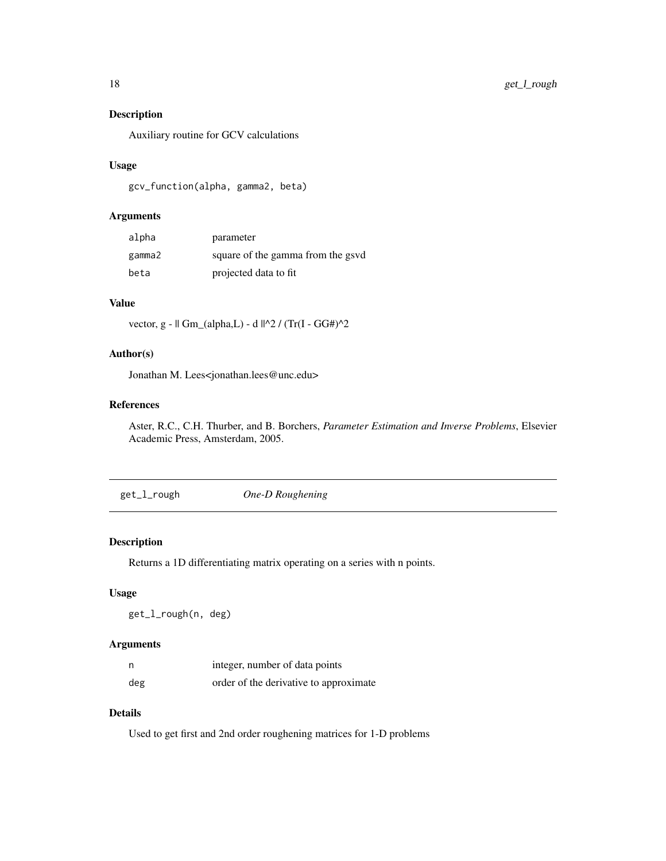Auxiliary routine for GCV calculations

#### Usage

gcv\_function(alpha, gamma2, beta)

### Arguments

| alpha  | parameter                         |
|--------|-----------------------------------|
| gamma2 | square of the gamma from the gsvd |
| beta   | projected data to fit             |

### Value

vector, g - || Gm\_(alpha,L) - d ||^2 / (Tr(I - GG#)^2

## Author(s)

Jonathan M. Lees<jonathan.lees@unc.edu>

#### References

Aster, R.C., C.H. Thurber, and B. Borchers, *Parameter Estimation and Inverse Problems*, Elsevier Academic Press, Amsterdam, 2005.

get\_l\_rough *One-D Roughening*

#### Description

Returns a 1D differentiating matrix operating on a series with n points.

#### Usage

get\_l\_rough(n, deg)

### Arguments

| n   | integer, number of data points         |
|-----|----------------------------------------|
| deg | order of the derivative to approximate |

# Details

Used to get first and 2nd order roughening matrices for 1-D problems

<span id="page-17-0"></span>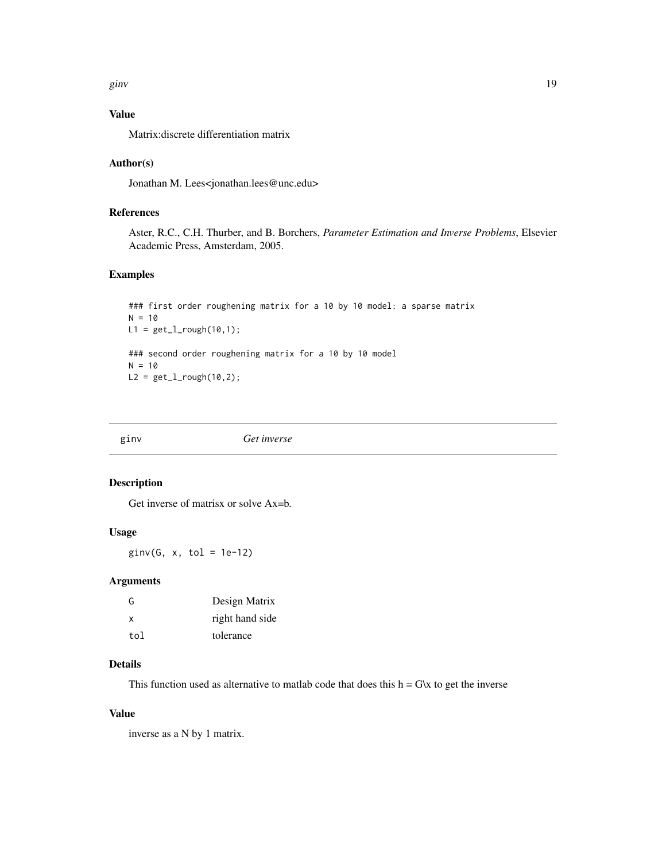<span id="page-18-0"></span>ginv and the set of the set of the set of the set of the set of the set of the set of the set of the set of the set of the set of the set of the set of the set of the set of the set of the set of the set of the set of the

# Value

Matrix:discrete differentiation matrix

#### Author(s)

Jonathan M. Lees<jonathan.lees@unc.edu>

### References

Aster, R.C., C.H. Thurber, and B. Borchers, *Parameter Estimation and Inverse Problems*, Elsevier Academic Press, Amsterdam, 2005.

### Examples

```
### first order roughening matrix for a 10 by 10 model: a sparse matrix
N = 10L1 = get_l\_rough(10,1);### second order roughening matrix for a 10 by 10 model
N = 10L2 = get_l\_rough(10, 2);
```
ginv *Get inverse*

### Description

Get inverse of matrisx or solve Ax=b.

# Usage

 $ginv(G, x, tol = 1e-12)$ 

#### Arguments

| G   | Design Matrix   |
|-----|-----------------|
| x   | right hand side |
| tol | tolerance       |

# Details

This function used as alternative to matlab code that does this  $h = G\&$  to get the inverse

# Value

inverse as a N by 1 matrix.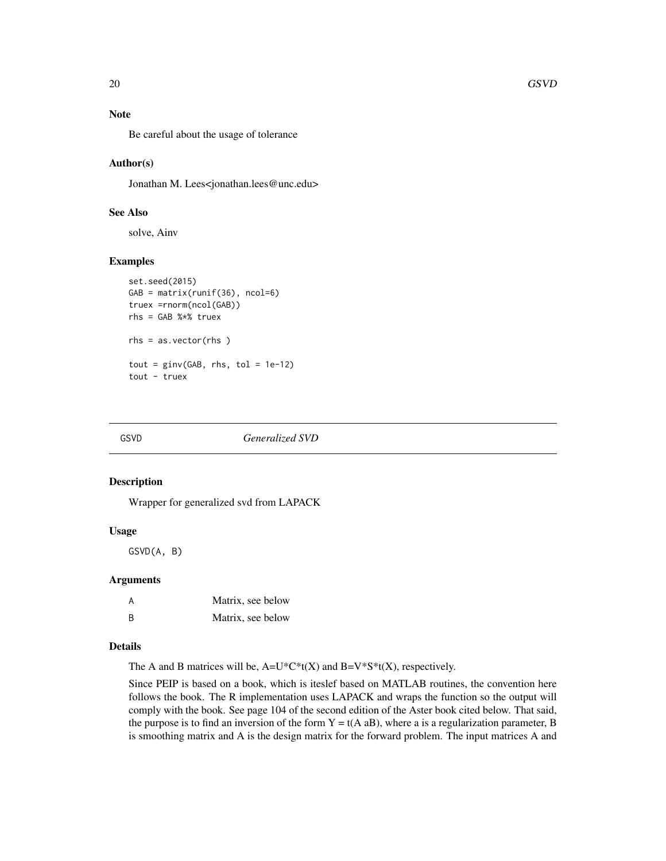### <span id="page-19-0"></span>Note

Be careful about the usage of tolerance

#### Author(s)

Jonathan M. Lees<jonathan.lees@unc.edu>

### See Also

solve, Ainv

#### Examples

```
set.seed(2015)
GAB = matrix(runif(36), ncol=6)
truex =rnorm(ncol(GAB))
rhs = GAB %*% truex
rhs = as.vector(rhs )
tout = ginv(GAB, rhs, tol = 1e-12)tout - truex
```
#### GSVD *Generalized SVD*

#### Description

Wrapper for generalized svd from LAPACK

### Usage

GSVD(A, B)

### Arguments

| A  | Matrix, see below |
|----|-------------------|
| B. | Matrix, see below |

#### Details

The A and B matrices will be,  $A=U^*C^*t(X)$  and  $B=V^*S^*t(X)$ , respectively.

Since PEIP is based on a book, which is iteslef based on MATLAB routines, the convention here follows the book. The R implementation uses LAPACK and wraps the function so the output will comply with the book. See page 104 of the second edition of the Aster book cited below. That said, the purpose is to find an inversion of the form  $Y = t(A \t{a}B)$ , where a is a regularization parameter, B is smoothing matrix and A is the design matrix for the forward problem. The input matrices A and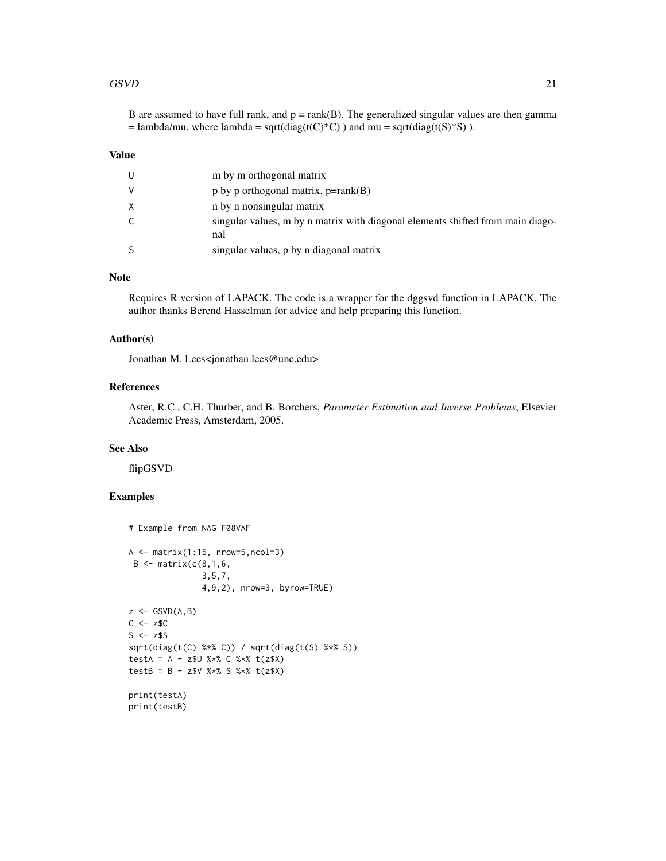#### $GSVD$  21

B are assumed to have full rank, and  $p = \text{rank}(B)$ . The generalized singular values are then gamma  $=$  lambda/mu, where lambda = sqrt(diag(t(C)\*C)) and mu = sqrt(diag(t(S)\*S)).

#### Value

| U  | m by m orthogonal matrix                                                              |
|----|---------------------------------------------------------------------------------------|
| V  | $p$ by p orthogonal matrix, $p = rank(B)$                                             |
| X  | n by n nonsingular matrix                                                             |
| C. | singular values, m by n matrix with diagonal elements shifted from main diago-<br>nal |
| -S | singular values, p by n diagonal matrix                                               |

#### Note

Requires R version of LAPACK. The code is a wrapper for the dggsvd function in LAPACK. The author thanks Berend Hasselman for advice and help preparing this function.

#### Author(s)

Jonathan M. Lees<jonathan.lees@unc.edu>

### References

Aster, R.C., C.H. Thurber, and B. Borchers, *Parameter Estimation and Inverse Problems*, Elsevier Academic Press, Amsterdam, 2005.

### See Also

flipGSVD

### Examples

```
# Example from NAG F08VAF
A \leftarrow matrix(1:15, nrow=5, ncol=3)B \leq - matrix(c(8,1,6,3,5,7,
                4,9,2), nrow=3, byrow=TRUE)
z \leftarrow GSVD(A, B)C \le -z$C
S \leftarrow z$S
sqrt(diag(t(C) %*% C)) / sqrt(diag(t(S) %*% S))
testA = A - z$U %*% C %*% t(z$X)
testB = B - z$V %*% S %*% t(z$X)
print(testA)
print(testB)
```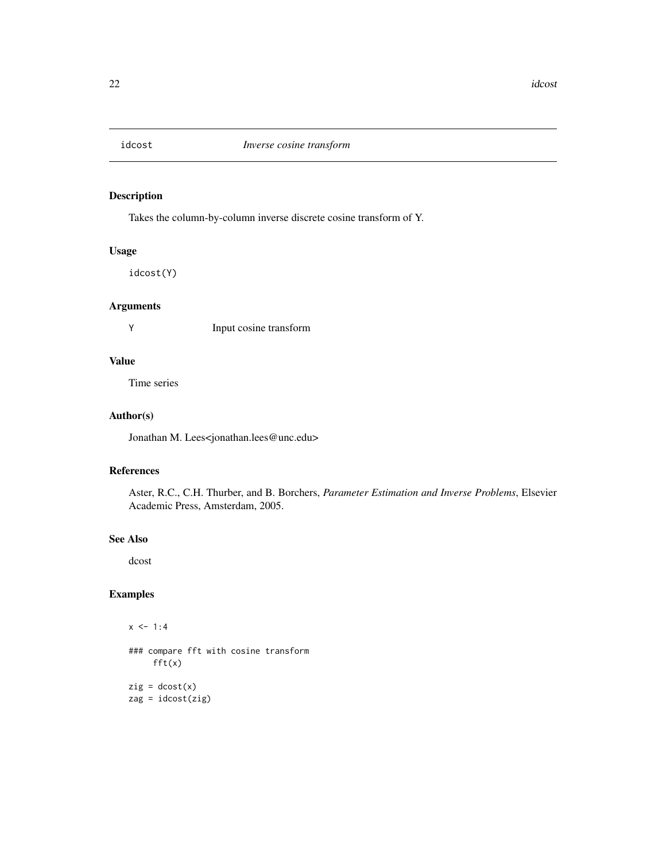<span id="page-21-0"></span>

Takes the column-by-column inverse discrete cosine transform of Y.

# Usage

idcost(Y)

### Arguments

Y Input cosine transform

### Value

Time series

### Author(s)

Jonathan M. Lees<jonathan.lees@unc.edu>

#### References

Aster, R.C., C.H. Thurber, and B. Borchers, *Parameter Estimation and Inverse Problems*, Elsevier Academic Press, Amsterdam, 2005.

### See Also

dcost

### Examples

 $x \le -1:4$ ### compare fft with cosine transform fft(x)  $zig = docost(x)$ zag = idcost(zig)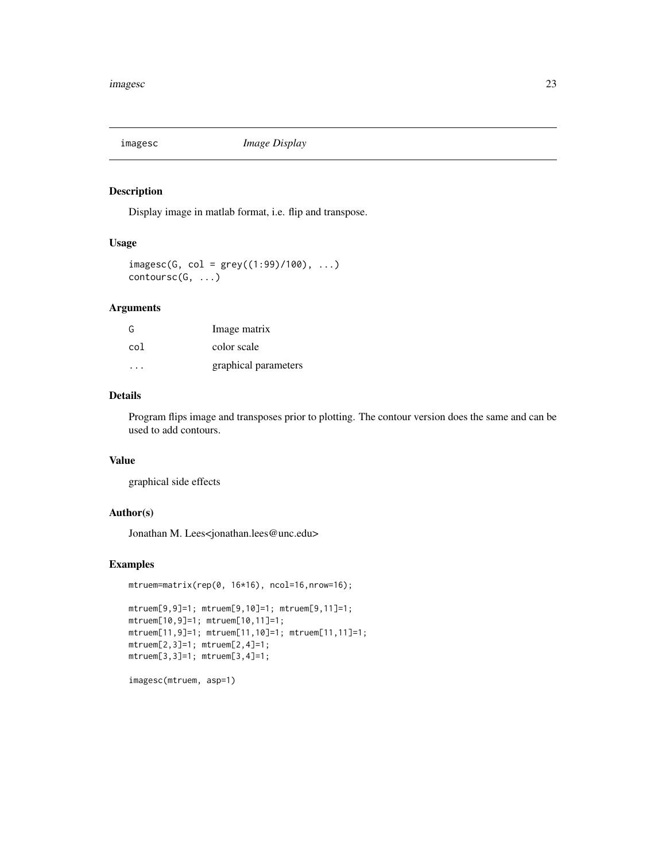<span id="page-22-0"></span>

Display image in matlab format, i.e. flip and transpose.

### Usage

 $imagesc(G, col = grey((1:99)/100), ...)$  $contoursc(G, \ldots)$ 

### Arguments

| G   | Image matrix         |
|-----|----------------------|
| col | color scale          |
|     | graphical parameters |

### Details

Program flips image and transposes prior to plotting. The contour version does the same and can be used to add contours.

# Value

graphical side effects

### Author(s)

Jonathan M. Lees<jonathan.lees@unc.edu>

#### Examples

```
mtruem=matrix(rep(0, 16*16), ncol=16,nrow=16);
mtruem[9,9]=1; mtruem[9,10]=1; mtruem[9,11]=1;
mtruem[10,9]=1; mtruem[10,11]=1;
mtruem[11,9]=1; mtruem[11,10]=1; mtruem[11,11]=1;
mtruem[2,3]=1; mtruem[2,4]=1;
mtruem[3,3]=1; mtruem[3,4]=1;
```
imagesc(mtruem, asp=1)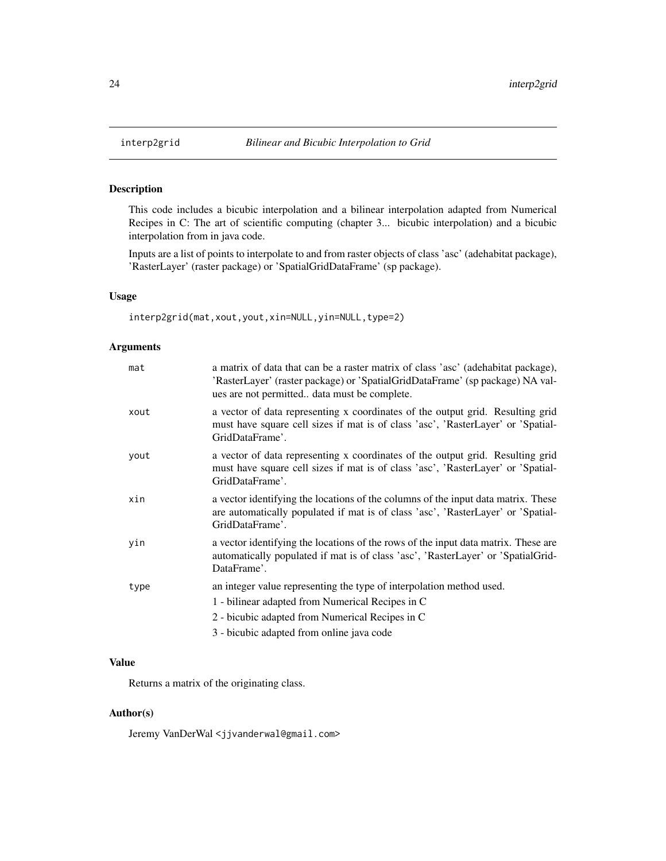<span id="page-23-0"></span>

This code includes a bicubic interpolation and a bilinear interpolation adapted from Numerical Recipes in C: The art of scientific computing (chapter 3... bicubic interpolation) and a bicubic interpolation from in java code.

Inputs are a list of points to interpolate to and from raster objects of class 'asc' (adehabitat package), 'RasterLayer' (raster package) or 'SpatialGridDataFrame' (sp package).

### Usage

interp2grid(mat,xout,yout,xin=NULL,yin=NULL,type=2)

### Arguments

| mat  | a matrix of data that can be a raster matrix of class 'asc' (adehabitat package),<br>'RasterLayer' (raster package) or 'SpatialGridDataFrame' (sp package) NA val-<br>ues are not permitted data must be complete.       |
|------|--------------------------------------------------------------------------------------------------------------------------------------------------------------------------------------------------------------------------|
| xout | a vector of data representing x coordinates of the output grid. Resulting grid<br>must have square cell sizes if mat is of class 'asc', 'RasterLayer' or 'Spatial-<br>GridDataFrame'.                                    |
| yout | a vector of data representing x coordinates of the output grid. Resulting grid<br>must have square cell sizes if mat is of class 'asc', 'RasterLayer' or 'Spatial-<br>GridDataFrame'.                                    |
| xin  | a vector identifying the locations of the columns of the input data matrix. These<br>are automatically populated if mat is of class 'asc', 'RasterLayer' or 'Spatial-<br>GridDataFrame'.                                 |
| yin  | a vector identifying the locations of the rows of the input data matrix. These are<br>automatically populated if mat is of class 'asc', 'RasterLayer' or 'SpatialGrid-<br>DataFrame'.                                    |
| type | an integer value representing the type of interpolation method used.<br>1 - bilinear adapted from Numerical Recipes in C<br>2 - bicubic adapted from Numerical Recipes in C<br>3 - bicubic adapted from online java code |

### Value

Returns a matrix of the originating class.

### Author(s)

Jeremy VanDerWal <jjvanderwal@gmail.com>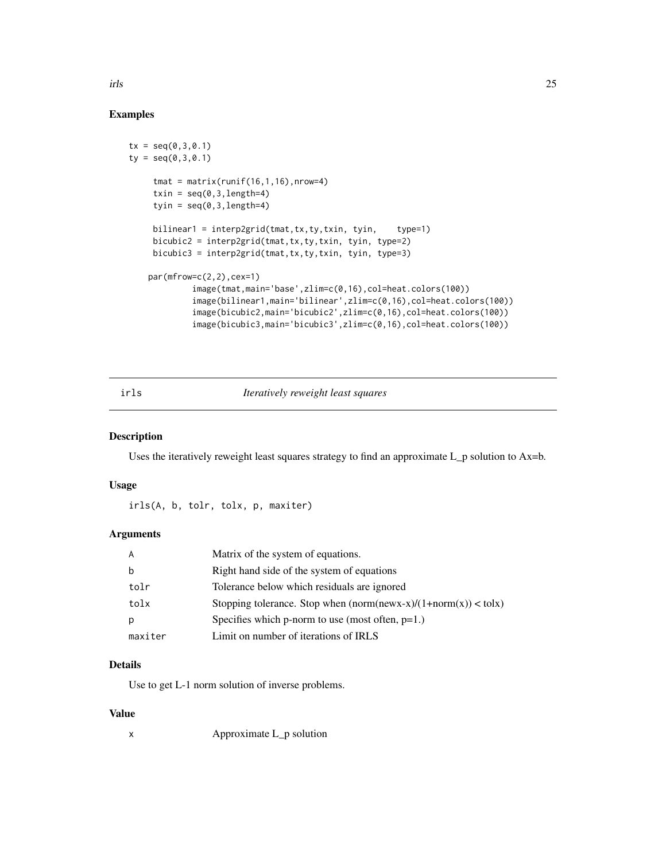# Examples

```
tx = seq(0, 3, 0.1)ty = seq(0, 3, 0.1)tmat = matrix(runif(16,1,16),nrow=4)
     txin = seq(0, 3, length=4)tyin = seq(0, 3, length=4)bilinear1 = interp2grid(tmat,tx,ty,txin,tyin, trype=1)bicubic2 = interp2grid(tmat,tx,ty,txin, tyin, type=2)
    bicubic3 = interp2grid(tmat,tx,ty,txin, tyin, type=3)
    par(mfrow=c(2,2),cex=1)
             image(tmat,main='base',zlim=c(0,16),col=heat.colors(100))
             image(bilinear1,main='bilinear',zlim=c(0,16),col=heat.colors(100))
             image(bicubic2,main='bicubic2',zlim=c(0,16),col=heat.colors(100))
             image(bicubic3,main='bicubic3',zlim=c(0,16),col=heat.colors(100))
```
#### irls *Iteratively reweight least squares*

### Description

Uses the iteratively reweight least squares strategy to find an approximate  $L_p$  solution to  $Ax=b$ .

#### Usage

irls(A, b, tolr, tolx, p, maxiter)

#### Arguments

| A       | Matrix of the system of equations.                                |
|---------|-------------------------------------------------------------------|
| b       | Right hand side of the system of equations                        |
| tolr    | Tolerance below which residuals are ignored                       |
| tolx    | Stopping tolerance. Stop when $(norm(newx-x)/(1+norm(x)) <$ tolx) |
| р       | Specifies which p-norm to use (most often, $p=1$ .)               |
| maxiter | Limit on number of iterations of IRLS                             |

### Details

Use to get L-1 norm solution of inverse problems.

### Value

x Approximate L\_p solution

<span id="page-24-0"></span>irls 25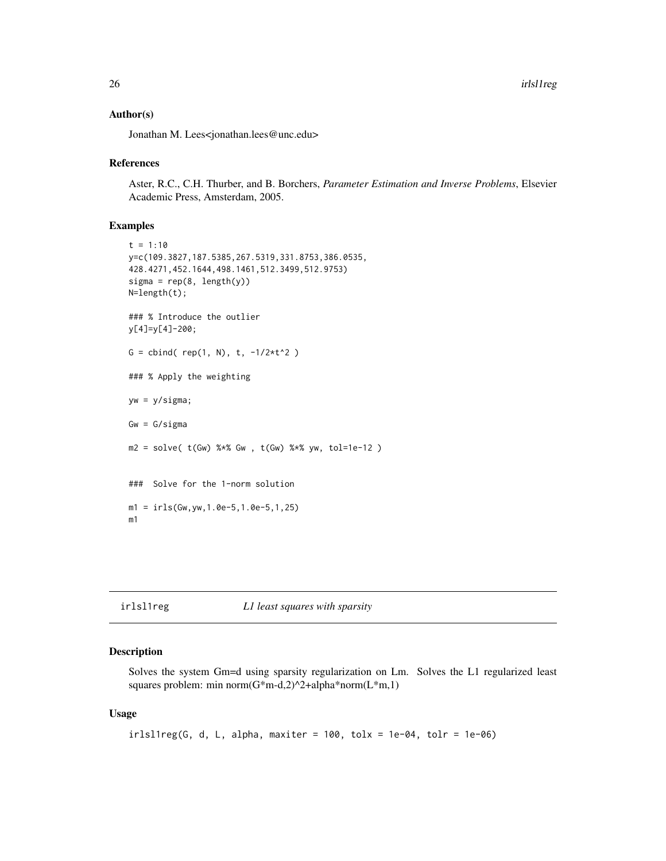#### <span id="page-25-0"></span>Author(s)

Jonathan M. Lees<jonathan.lees@unc.edu>

#### References

Aster, R.C., C.H. Thurber, and B. Borchers, *Parameter Estimation and Inverse Problems*, Elsevier Academic Press, Amsterdam, 2005.

#### Examples

```
t = 1:10y=c(109.3827,187.5385,267.5319,331.8753,386.0535,
428.4271,452.1644,498.1461,512.3499,512.9753)
signa = rep(8, length(y))N=length(t);
### % Introduce the outlier
y[4]=y[4]-200;
G = \text{cbind}(\text{rep}(1, N), t, -1/2*t^2)### % Apply the weighting
yw = y/sigma;
Gw = G/sigmam2 = solve( t(Gw) %*% Gw, t(Gw) %*% yw, tol=1e-12 )
### Solve for the 1-norm solution
ml = irls(Gw, yw, 1.0e-5, 1.0e-5, 1, 25)m1
```
#### irlsl1reg *L1 least squares with sparsity*

### Description

Solves the system Gm=d using sparsity regularization on Lm. Solves the L1 regularized least squares problem: min norm $(G*m-d,2)^2+alpha*norm(L*m,1)$ 

#### Usage

```
irlsl1reg(G, d, L, alpha, maxiter = 100, tolx = 1e-04, tolr = 1e-06)
```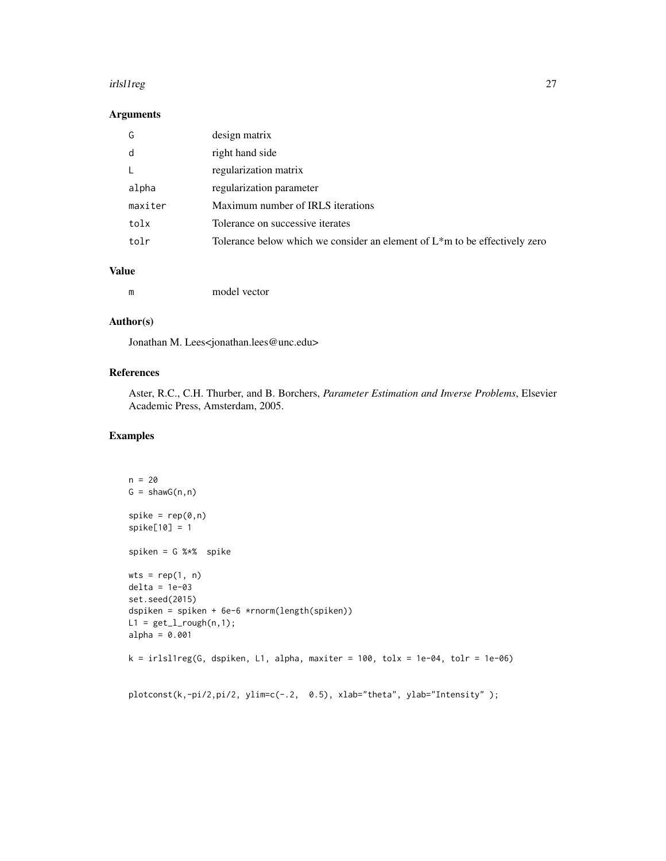#### irlsl1reg 27

### Arguments

| G       | design matrix                                                                  |
|---------|--------------------------------------------------------------------------------|
| d       | right hand side                                                                |
|         | regularization matrix                                                          |
| alpha   | regularization parameter                                                       |
| maxiter | Maximum number of IRLS iterations                                              |
| tolx    | Tolerance on successive iterates                                               |
| tolr    | Tolerance below which we consider an element of $L^*$ m to be effectively zero |
|         |                                                                                |

### Value

| m | model vector |
|---|--------------|
|   |              |

### Author(s)

Jonathan M. Lees<jonathan.lees@unc.edu>

### References

Aster, R.C., C.H. Thurber, and B. Borchers, *Parameter Estimation and Inverse Problems*, Elsevier Academic Press, Amsterdam, 2005.

### Examples

```
n = 20G = \text{shawG}(n, n)spike = rep(0, n)spike[10] = 1
spiken = G %*% spike
wts = rep(1, n)delta = 1e-03
set.seed(2015)
dspiken = spiken + 6e-6 *rnorm(length(spiken))
L1 = get_l\_rough(n, 1);alpha = 0.001k = irls11reg(G, dspiken, L1, alpha, maxiter = 100, tolx = 1e-04, tolr = 1e-06)plotconst(k,-pi/2,pi/2, ylim=c(-.2, 0.5), xlab="theta", ylab="Intensity");
```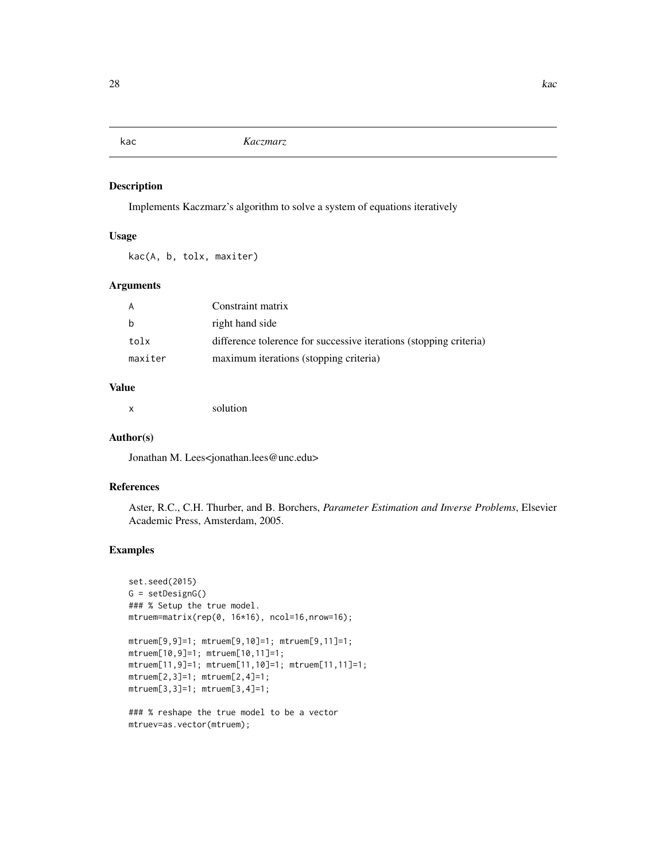<span id="page-27-0"></span>

Implements Kaczmarz's algorithm to solve a system of equations iteratively

#### Usage

kac(A, b, tolx, maxiter)

### Arguments

| A       | Constraint matrix                                                  |
|---------|--------------------------------------------------------------------|
| b       | right hand side                                                    |
| tolx    | difference tolerence for successive iterations (stopping criteria) |
| maxiter | maximum iterations (stopping criteria)                             |

### Value

x solution

### Author(s)

Jonathan M. Lees<jonathan.lees@unc.edu>

#### References

Aster, R.C., C.H. Thurber, and B. Borchers, *Parameter Estimation and Inverse Problems*, Elsevier Academic Press, Amsterdam, 2005.

### Examples

```
set.seed(2015)
G = setDesignG()
### % Setup the true model.
mtruem=matrix(rep(0, 16*16), ncol=16,nrow=16);
mtruem[9,9]=1; mtruem[9,10]=1; mtruem[9,11]=1;
```

```
mtruem[10,9]=1; mtruem[10,11]=1;
mtruem[11,9]=1; mtruem[11,10]=1; mtruem[11,11]=1;
mtruem[2,3]=1; mtruem[2,4]=1;
mtruem[3,3]=1; mtruem[3,4]=1;
```

```
### % reshape the true model to be a vector
mtruev=as.vector(mtruem);
```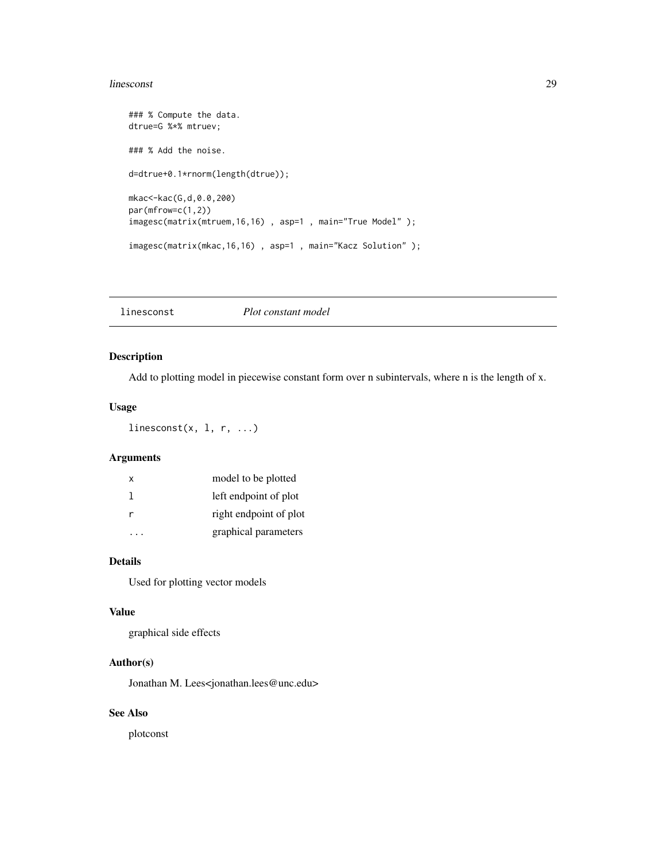#### <span id="page-28-0"></span>linesconst 29

```
### % Compute the data.
dtrue=G %*% mtruev;
### % Add the noise.
d=dtrue+0.1*rnorm(length(dtrue));
mkac<-kac(G,d,0.0,200)
par(mfrow=c(1,2))
imagesc(matrix(mtruem,16,16) , asp=1 , main="True Model" );
imagesc(matrix(mkac,16,16) , asp=1 , main="Kacz Solution" );
```
linesconst *Plot constant model*

### Description

Add to plotting model in piecewise constant form over n subintervals, where n is the length of x.

#### Usage

linesconst $(x, 1, r, ...)$ 

### Arguments

| x | model to be plotted    |
|---|------------------------|
|   | left endpoint of plot  |
|   | right endpoint of plot |
|   | graphical parameters   |

### Details

Used for plotting vector models

#### Value

graphical side effects

### Author(s)

Jonathan M. Lees<jonathan.lees@unc.edu>

### See Also

plotconst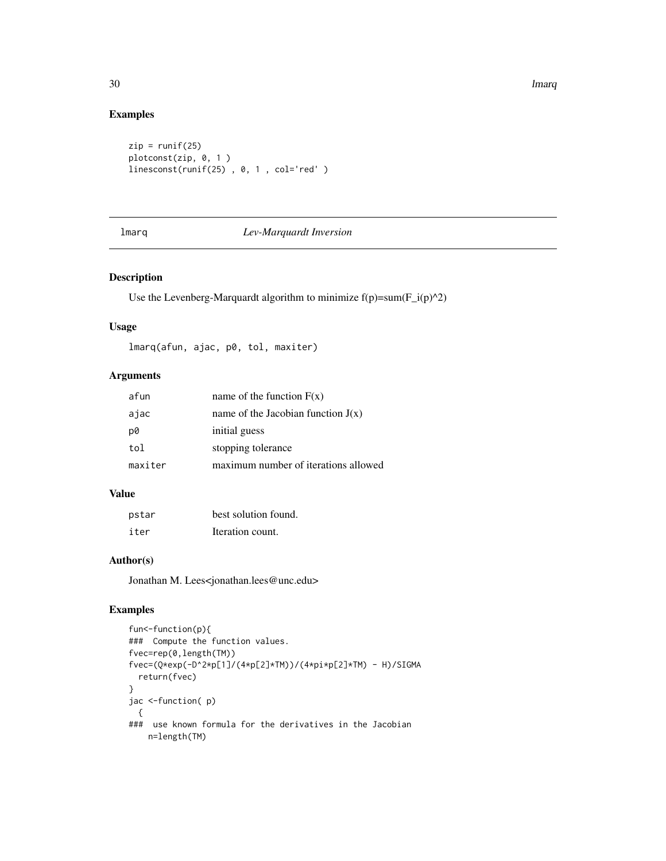30 **lmarq** 

### Examples

```
zip = runif(25)plotconst(zip, 0, 1 )
linesconst(runif(25) , 0, 1 , col='red' )
```

| . .<br>Ξ |  |
|----------|--|
|----------|--|

### Lev-Marquardt Inversion

#### Description

Use the Levenberg-Marquardt algorithm to minimize  $f(p)=sum(F_i(p)^{\wedge}2)$ 

#### Usage

lmarq(afun, ajac, p0, tol, maxiter)

### Arguments

| afun    | name of the function $F(x)$          |
|---------|--------------------------------------|
| ajac    | name of the Jacobian function $J(x)$ |
| p0      | initial guess                        |
| tol     | stopping tolerance                   |
| maxiter | maximum number of iterations allowed |

### Value

| pstar | best solution found. |
|-------|----------------------|
| iter  | Iteration count.     |

# Author(s)

Jonathan M. Lees<jonathan.lees@unc.edu>

### Examples

```
fun<-function(p){
### Compute the function values.
fvec=rep(0,length(TM))
fvec=(Q*exp(-D^2*p[1]/(4*p[2]*TM))/(4*pi*p[2]*TM) - H)/SIGMA
  return(fvec)
}
jac <-function( p)
  {
### use known formula for the derivatives in the Jacobian
   n=length(TM)
```
<span id="page-29-0"></span>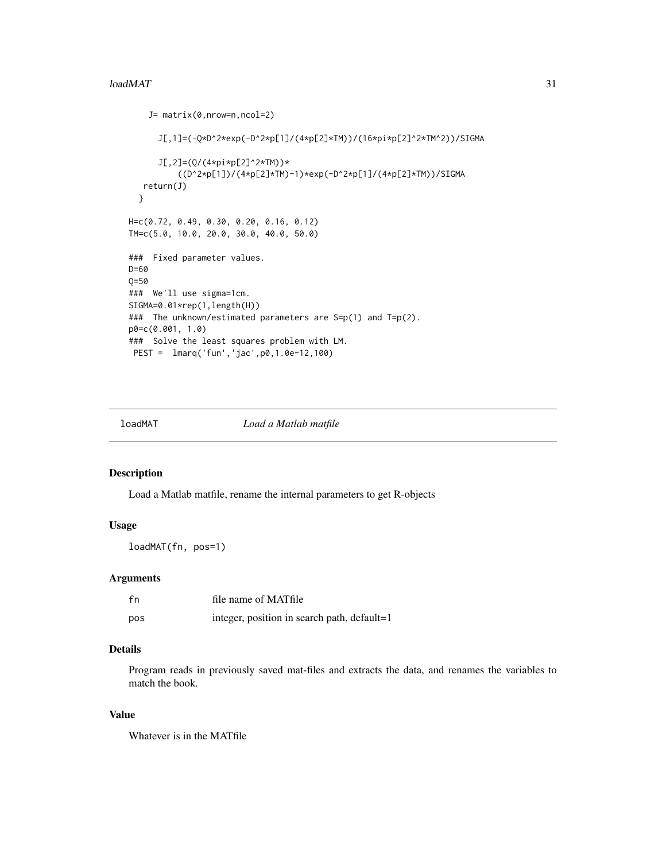#### <span id="page-30-0"></span> $\mu$ loadMAT  $\overline{31}$

```
J= matrix(0,nrow=n,ncol=2)
      J[,1]=(-Q*D^2*exp(-D^2*p[1]/(4*p[2]*TM))/(16*pi*p[2]^2*TM^2))/SIGMA
      J[,2]=(Q/(4*pi*p[2]^2*TM))*
          ((D^2*p[1])/(4*p[2]*TM)-1)*exp(-D^2*p[1]/(4*p[2]*TM))/SIGMA
   return(J)
  }
H=c(0.72, 0.49, 0.30, 0.20, 0.16, 0.12)
TM=c(5.0, 10.0, 20.0, 30.0, 40.0, 50.0)
### Fixed parameter values.
D=60
Q=50
### We'll use sigma=1cm.
SIGMA=0.01*rep(1,length(H))
### The unknown/estimated parameters are S=p(1) and T=p(2).
p0=c(0.001, 1.0)
### Solve the least squares problem with LM.
PEST = lmarq('fun','jac',p0,1.0e-12,100)
```
loadMAT *Load a Matlab matfile*

### Description

Load a Matlab matfile, rename the internal parameters to get R-objects

### Usage

loadMAT(fn, pos=1)

#### Arguments

| fn  | file name of MATfile                        |
|-----|---------------------------------------------|
| pos | integer, position in search path, default=1 |

#### Details

Program reads in previously saved mat-files and extracts the data, and renames the variables to match the book.

#### Value

Whatever is in the MATfile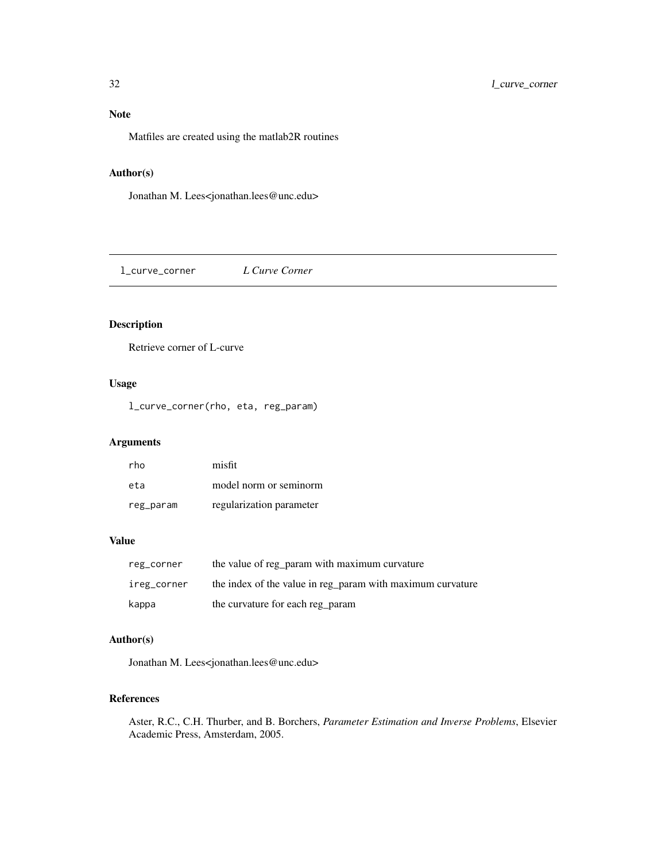<span id="page-31-0"></span>

Matfiles are created using the matlab2R routines

# Author(s)

Jonathan M. Lees<jonathan.lees@unc.edu>

l\_curve\_corner *L Curve Corner*

### Description

Retrieve corner of L-curve

### Usage

l\_curve\_corner(rho, eta, reg\_param)

# Arguments

| rho       | misfit                   |
|-----------|--------------------------|
| eta       | model norm or seminorm   |
| reg_param | regularization parameter |

### Value

| reg_corner  | the value of reg_param with maximum curvature              |
|-------------|------------------------------------------------------------|
| ireg_corner | the index of the value in reg_param with maximum curvature |
| kappa       | the curvature for each reg param                           |

### Author(s)

Jonathan M. Lees<jonathan.lees@unc.edu>

#### References

Aster, R.C., C.H. Thurber, and B. Borchers, *Parameter Estimation and Inverse Problems*, Elsevier Academic Press, Amsterdam, 2005.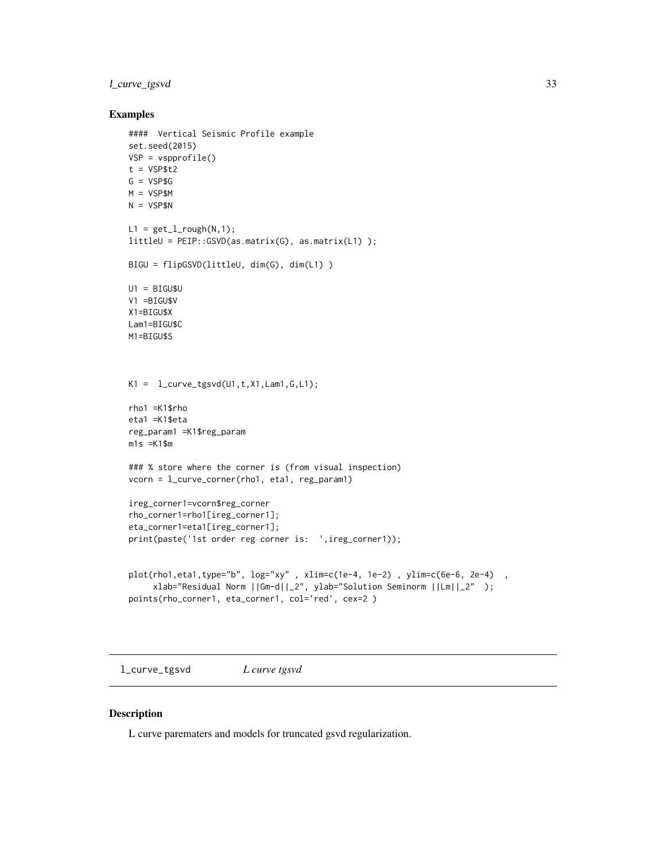### <span id="page-32-0"></span>l\_curve\_tgsvd 33

#### Examples

```
#### Vertical Seismic Profile example
set.seed(2015)
VSP = vspprofile()
t = VSP$t2G = VSP$GM = VSP$M
N = VSP$N
L1 = get_l\_rough(N,1);littleU = PEIP::GSVD(as.matrix(G), as.matrix(L1) );
BIGU = flipGSVD(littleU, dim(G), dim(L1) )
U1 = BIGU$U
V1 =BIGU$V
X1=BIGU$X
Lam1=BIGU$C
M1=BIGU$S
K1 = 1_curve_tgsvd(U1, t, X1, Lam1, G, L1);
rho1 =K1$rho
eta1 =K1$eta
reg_param1 =K1$reg_param
m1s =K1$m
### % store where the corner is (from visual inspection)
vcorn = l_curve_corner(rho1, eta1, reg_param1)
ireg_corner1=vcorn$reg_corner
rho_corner1=rho1[ireg_corner1];
eta_corner1=eta1[ireg_corner1];
print(paste('1st order reg corner is: ',ireg_corner1));
plot(rho1,eta1,type="b", log="xy", xlim=c(1e-4, 1e-2), ylim=c(6e-6, 2e-4),
     xlab="Residual Norm ||Gm-d||_2", ylab="Solution Seminorm ||Lm||_2" );
points(rho_corner1, eta_corner1, col='red', cex=2 )
```
l\_curve\_tgsvd *L curve tgsvd*

### Description

L curve parematers and models for truncated gsvd regularization.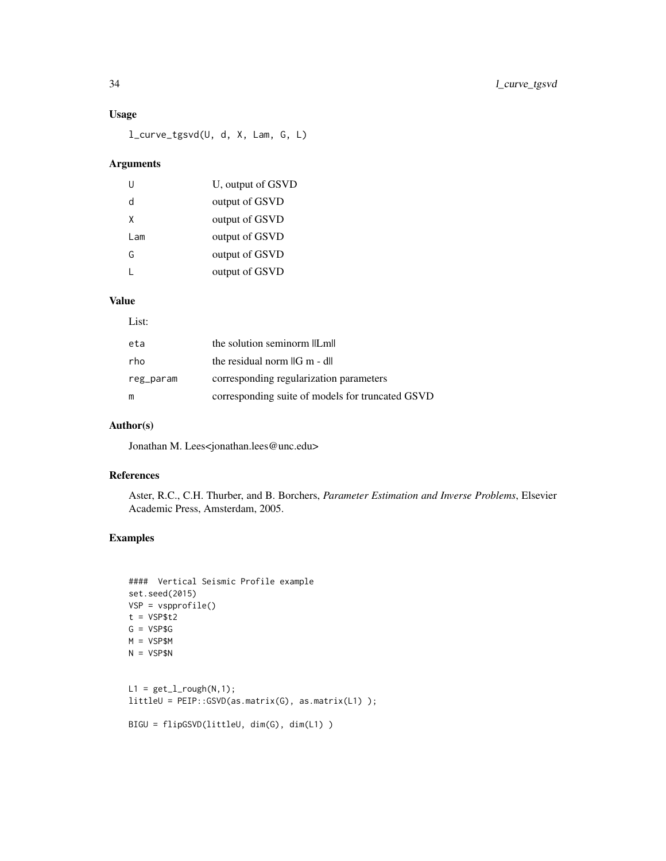### Usage

l\_curve\_tgsvd(U, d, X, Lam, G, L)

### Arguments

|     | U, output of GSVD |
|-----|-------------------|
| d   | output of GSVD    |
| x   | output of GSVD    |
| Lam | output of GSVD    |
| G   | output of GSVD    |
|     | output of GSVD    |

# Value

### List:

| eta       | the solution seminorm llLmll                     |
|-----------|--------------------------------------------------|
| rho       | the residual norm $\ G\ $ - dll                  |
| reg_param | corresponding regularization parameters          |
| m         | corresponding suite of models for truncated GSVD |

### Author(s)

Jonathan M. Lees<jonathan.lees@unc.edu>

### References

Aster, R.C., C.H. Thurber, and B. Borchers, *Parameter Estimation and Inverse Problems*, Elsevier Academic Press, Amsterdam, 2005.

# Examples

```
#### Vertical Seismic Profile example
set.seed(2015)
VSP = vspprofile()
t = VSP$t2G = VSP$GM = VSP$M
N = VSP$NL1 = get_l\_rough(N,1);littleU = PEIP::GSVD(as.matrix(G), as.matrix(L1) );
BIGU = flipGSVD(littleU, dim(G), dim(L1) )
```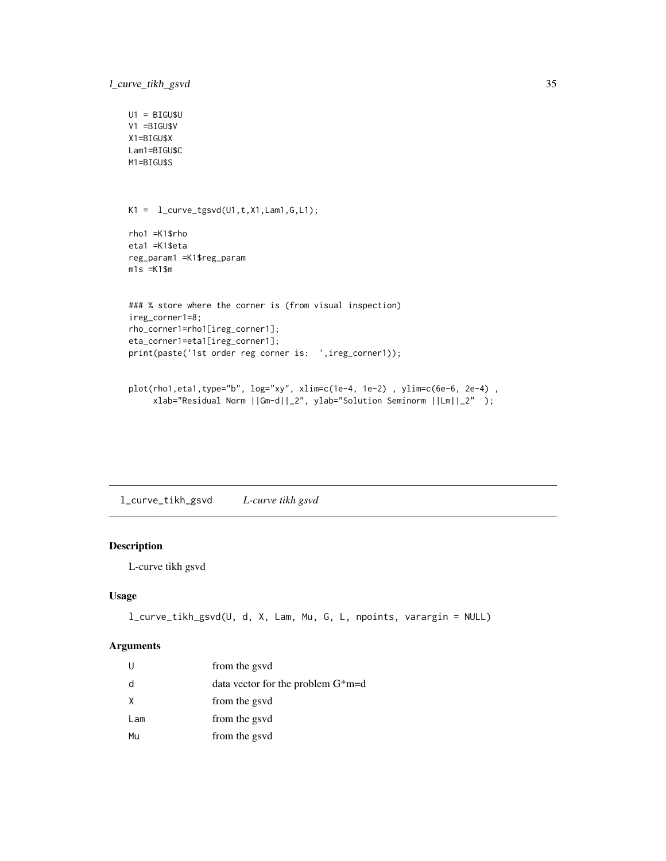```
U1 = BIGU$U
V1 =BIGU$V
X1=BIGU$X
Lam1=BIGU$C
M1=BIGU$S
K1 = 1_curve_tgsvd(U1, t, X1, Lam1, G, L1);
rho1 =K1$rho
eta1 =K1$eta
reg_param1 =K1$reg_param
m1s =K1$m
### % store where the corner is (from visual inspection)
ireg_corner1=8;
rho_corner1=rho1[ireg_corner1];
eta_corner1=eta1[ireg_corner1];
print(paste('1st order reg corner is: ',ireg_corner1));
plot(rho1,eta1,type="b", log="xy", xlim=c(1e-4, 1e-2) , ylim=c(6e-6, 2e-4) ,
     xlab="Residual Norm ||Gm-d||_2", ylab="Solution Seminorm ||Lm||_2" );
```
l\_curve\_tikh\_gsvd *L-curve tikh gsvd*

### Description

L-curve tikh gsvd

### Usage

```
l_curve_tikh_gsvd(U, d, X, Lam, Mu, G, L, npoints, varargin = NULL)
```
#### Arguments

| U   | from the gsvd                       |
|-----|-------------------------------------|
| d   | data vector for the problem $G*m=d$ |
| X   | from the gsvd                       |
| Lam | from the gsvd                       |
| Mu  | from the gsvd                       |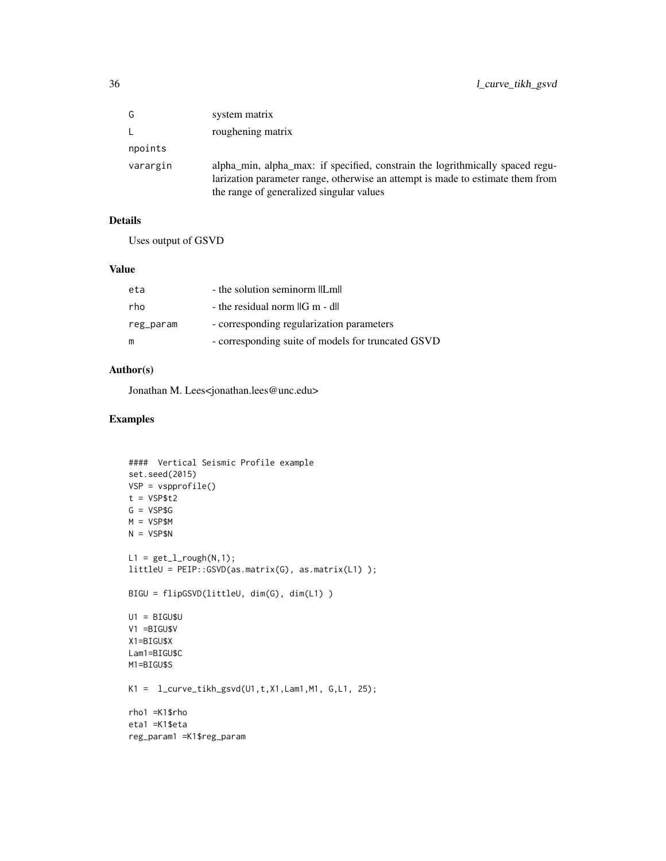| G        | system matrix                                                                                                                                                                                               |
|----------|-------------------------------------------------------------------------------------------------------------------------------------------------------------------------------------------------------------|
| L.       | roughening matrix                                                                                                                                                                                           |
| npoints  |                                                                                                                                                                                                             |
| varargin | alpha min, alpha max: if specified, constrain the logrithmically spaced regu-<br>larization parameter range, otherwise an attempt is made to estimate them from<br>the range of generalized singular values |

### Details

Uses output of GSVD

#### Value

| eta       | - the solution seminorm llLmll                     |
|-----------|----------------------------------------------------|
| rho       | - the residual norm IG m - dll                     |
| reg_param | - corresponding regularization parameters          |
| m         | - corresponding suite of models for truncated GSVD |

### Author(s)

Jonathan M. Lees<jonathan.lees@unc.edu>

# Examples

```
#### Vertical Seismic Profile example
set.seed(2015)
VSP = vspprofile()
t = VSP$t2G = VSP$G
M = VSP$M
N = VSP$NL1 = get_l\_rough(N,1);littleU = PEIP::GSVD(as.matrix(G), as.matrix(L1) );
BIGU = flipGSVD(littleU, dim(G), dim(L1) )
U1 = BIGU$U
V1 =BIGU$V
X1=BIGU$X
Lam1=BIGU$C
M1=BIGU$S
K1 = l_curve_tikh_gsvd(U1,t,X1,Lam1,M1, G,L1, 25);
rho1 =K1$rho
eta1 =K1$eta
reg_param1 =K1$reg_param
```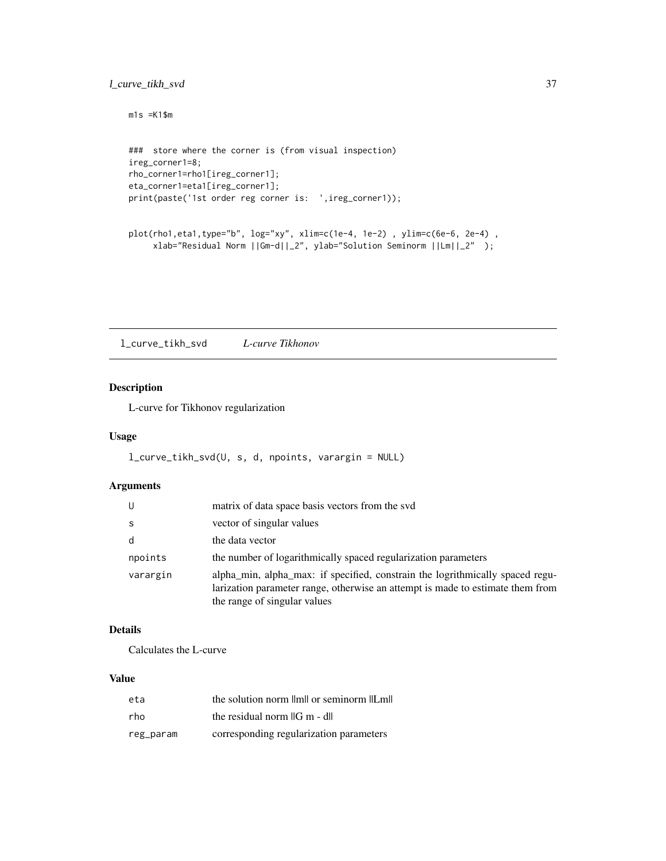### <span id="page-36-0"></span>l\_curve\_tikh\_svd 37

```
m1s = K1$m
### store where the corner is (from visual inspection)
ireg_corner1=8;
rho_corner1=rho1[ireg_corner1];
eta_corner1=eta1[ireg_corner1];
print(paste('1st order reg corner is: ',ireg_corner1));
plot(rho1,eta1,type="b", log="xy", xlim=c(1e-4, 1e-2) , ylim=c(6e-6, 2e-4) ,
```

```
xlab="Residual Norm ||Gm-d||_2", ylab="Solution Seminorm ||Lm||_2" );
```
l\_curve\_tikh\_svd *L-curve Tikhonov*

### Description

L-curve for Tikhonov regularization

### Usage

```
l_curve_tikh_svd(U, s, d, npoints, varargin = NULL)
```
### Arguments

| U        | matrix of data space basis vectors from the svd                                                                                                                                                 |
|----------|-------------------------------------------------------------------------------------------------------------------------------------------------------------------------------------------------|
| S        | vector of singular values                                                                                                                                                                       |
| d        | the data vector                                                                                                                                                                                 |
| npoints  | the number of logarithmically spaced regularization parameters                                                                                                                                  |
| varargin | alpha_min, alpha_max: if specified, constrain the logrithmically spaced regu-<br>larization parameter range, otherwise an attempt is made to estimate them from<br>the range of singular values |

# Details

Calculates the L-curve

### Value

| eta       | the solution norm limit or seminorm llLmll |
|-----------|--------------------------------------------|
| rho       | the residual norm $\ G\ $ - dll            |
| reg_param | corresponding regularization parameters    |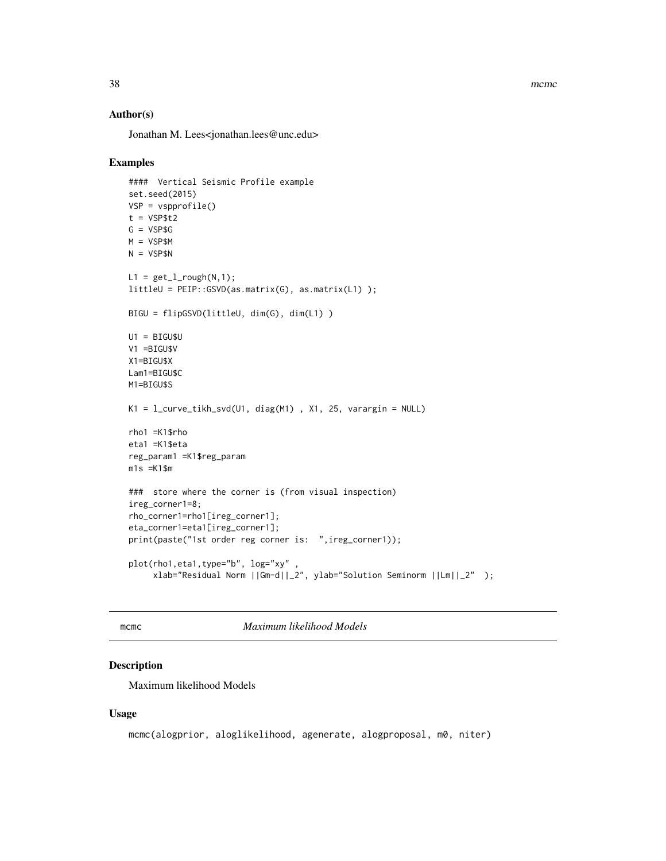38 mcmc metal and the state of the state of the state of the state of the state of the state of the state of the state of the state of the state of the state of the state of the state of the state of the state of the state

#### Author(s)

Jonathan M. Lees<jonathan.lees@unc.edu>

#### Examples

```
#### Vertical Seismic Profile example
set.seed(2015)
VSP = vspprofile()
t = VSP$t2G = VSP$G
M = VSP$M
N = VSP$NL1 = get_l\_rough(N,1);littleU = PEIP::GSVD(as.matrix(G), as.matrix(L1) );
BIGU = flipGSVD(littleU, dim(G), dim(L1) )
UI = BIGU$UV1 =BIGU$V
X1=BIGU$X
Lam1=BIGU$C
M1=BIGU$S
K1 = 1_curve_tikh_svd(U1, diag(M1), X1, 25, varargin = NULL)
rho1 =K1$rho
eta1 =K1$eta
reg_param1 =K1$reg_param
m1s = K1$m
### store where the corner is (from visual inspection)
ireg_corner1=8;
rho_corner1=rho1[ireg_corner1];
eta_corner1=eta1[ireg_corner1];
print(paste("1st order reg corner is: ",ireg_corner1));
plot(rho1,eta1,type="b", log="xy"
     xlab="Residual Norm ||Gm-d||_2", ylab="Solution Seminorm ||Lm||_2" );
```
mcmc *Maximum likelihood Models*

### Description

Maximum likelihood Models

#### Usage

```
mcmc(alogprior, aloglikelihood, agenerate, alogproposal, m0, niter)
```
<span id="page-37-0"></span>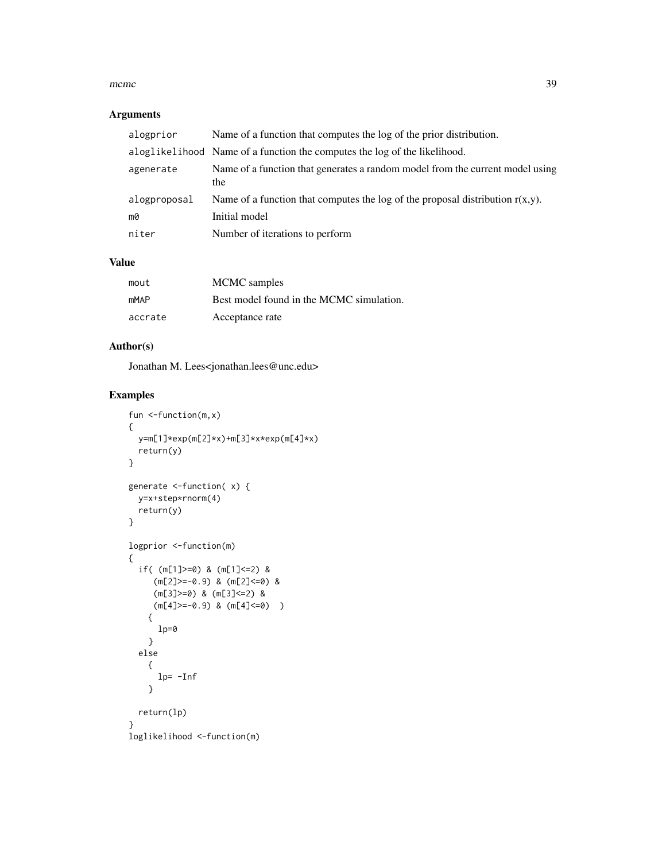#### $m$ cmc $\sim$  39

### Arguments

| alogprior    | Name of a function that computes the log of the prior distribution.                  |
|--------------|--------------------------------------------------------------------------------------|
|              | aloglikelihood Name of a function the computes the log of the likelihood.            |
| agenerate    | Name of a function that generates a random model from the current model using<br>the |
| alogproposal | Name of a function that computes the log of the proposal distribution $r(x,y)$ .     |
| mØ           | Initial model                                                                        |
| niter        | Number of iterations to perform                                                      |

### Value

| mout        | MCMC samples                             |
|-------------|------------------------------------------|
| <b>mMAP</b> | Best model found in the MCMC simulation. |
| accrate     | Acceptance rate                          |

### Author(s)

Jonathan M. Lees<jonathan.lees@unc.edu>

### Examples

```
fun <-function(m,x)
{
 y=m[1]*exp(m[2]*x)+m[3]*x*exp(m[4]*x)
  return(y)
}
generate <-function( x) {
  y=x+step*rnorm(4)
  return(y)
}
logprior <-function(m)
{
  if( (m[1]>=0) & (m[1]<=2) &
     (m[2]>=-0.9) & (m[2]<=0) &
     (m[3]>=0) & (m[3]<=2) &
     (m[4]>=0.9) & (m[4]<=0){
     1p=0}
  else
   {
     lp= -Inf
   }
 return(lp)
}
loglikelihood <-function(m)
```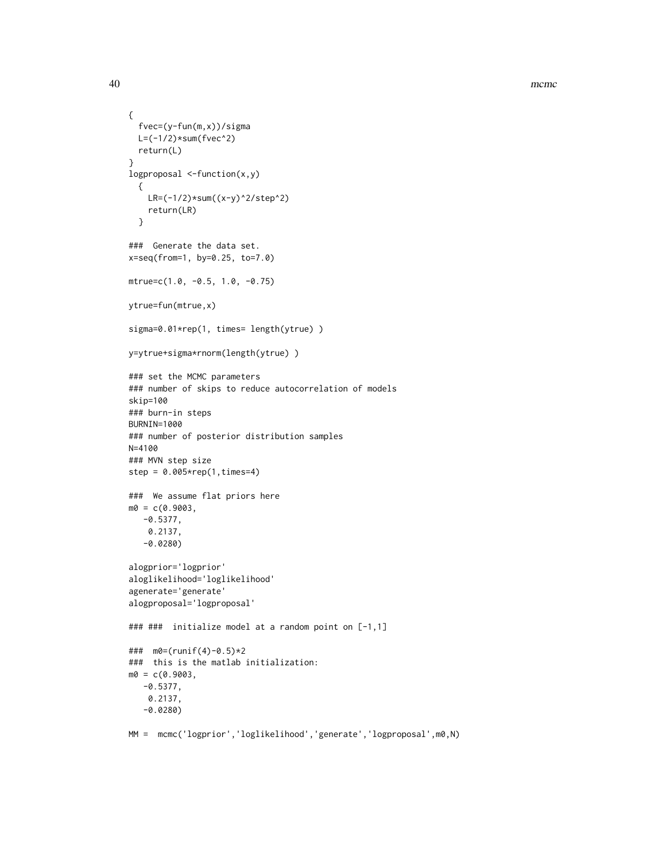40 mcmc

```
{
  fvec=(y-fun(m,x))/sigma
  L=(-1/2)*sum(fvec^2)return(L)
}
logproposal <-function(x,y)
  {
   LR=(-1/2)*sum((x-y)^2/step^2)
   return(LR)
  }
### Generate the data set.
x=seq(from=1, by=0.25, to=7.0)
mtrue=c(1.0, -0.5, 1.0, -0.75)
ytrue=fun(mtrue,x)
sigma=0.01*rep(1, times= length(ytrue))
y=ytrue+sigma*rnorm(length(ytrue) )
### set the MCMC parameters
### number of skips to reduce autocorrelation of models
skip=100
### burn-in steps
BURNIN=1000
### number of posterior distribution samples
N=4100
### MVN step size
step = 0.005*rep(1,times=4)
### We assume flat priors here
m0 = c(0.9003,-0.5377,
   0.2137,
  -0.0280)
alogprior='logprior'
aloglikelihood='loglikelihood'
agenerate='generate'
alogproposal='logproposal'
### ### initialize model at a random point on [-1,1]
### m0=(runif(4)-0.5)*2
### this is the matlab initialization:
m0 = c(0.9003)-0.5377,
   0.2137,
   -0.0280)
```

```
MM = mcmc('logprior','loglikelihood','generate','logproposal',m0,N)
```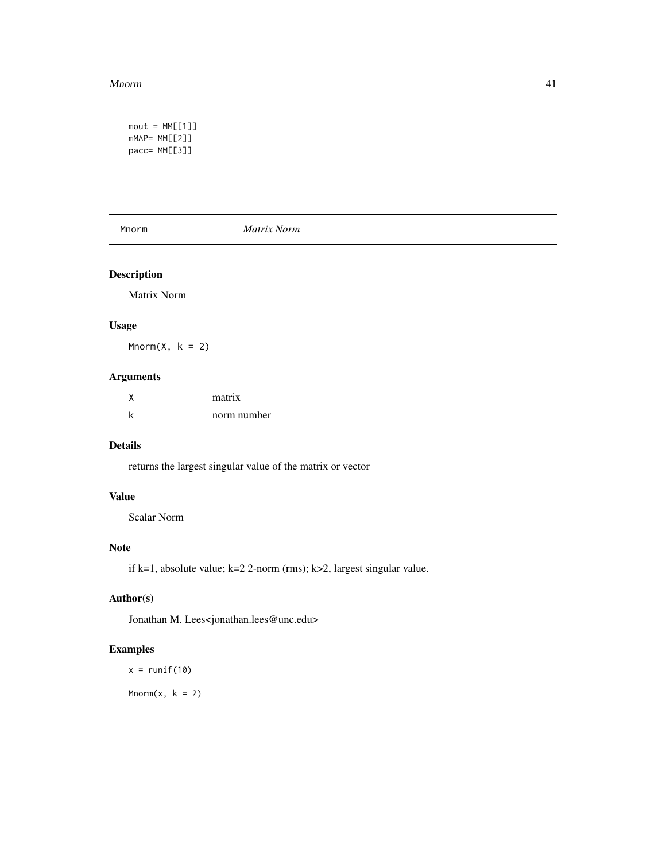#### <span id="page-40-0"></span>Mnorm and the contract of the contract of the contract of the contract of the contract of the contract of the contract of the contract of the contract of the contract of the contract of the contract of the contract of the

```
mout = MM[[1]]mMAP= MM[[2]]
pacc= MM[[3]]
```
Mnorm *Matrix Norm*

### Description

Matrix Norm

### Usage

 $Mnorm(X, k = 2)$ 

# Arguments

| matrix      |
|-------------|
| norm number |

### Details

returns the largest singular value of the matrix or vector

### Value

Scalar Norm

### Note

if k=1, absolute value; k=2 2-norm (rms); k>2, largest singular value.

# Author(s)

Jonathan M. Lees<jonathan.lees@unc.edu>

### Examples

 $x = runif(10)$ 

 $Mnorm(x, k = 2)$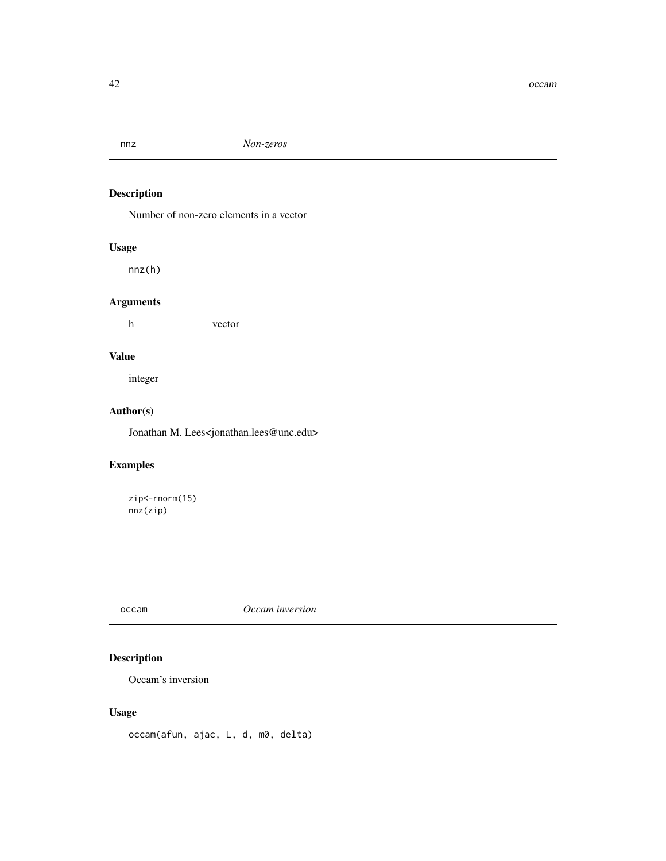<span id="page-41-0"></span>

Number of non-zero elements in a vector

### Usage

nnz(h)

# Arguments

h vector

# Value

integer

# Author(s)

Jonathan M. Lees<jonathan.lees@unc.edu>

# Examples

zip <- rnorm(15) nnz(zip)

# occam *Occam inversion*

# Description

Occam's inversion

# Usage

occam(afun, ajac, L, d, m0, delta)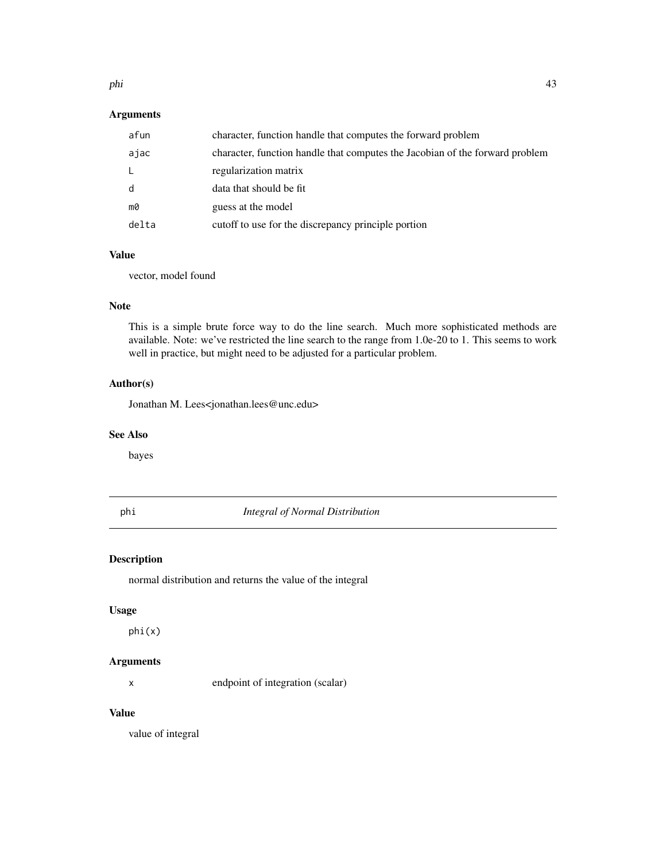#### <span id="page-42-0"></span>phi 43

### Arguments

| afun  | character, function handle that computes the forward problem                 |
|-------|------------------------------------------------------------------------------|
| ajac  | character, function handle that computes the Jacobian of the forward problem |
| L     | regularization matrix                                                        |
| d     | data that should be fit                                                      |
| m0    | guess at the model                                                           |
| delta | cutoff to use for the discrepancy principle portion                          |

#### Value

vector, model found

# Note

This is a simple brute force way to do the line search. Much more sophisticated methods are available. Note: we've restricted the line search to the range from 1.0e-20 to 1. This seems to work well in practice, but might need to be adjusted for a particular problem.

# Author(s)

Jonathan M. Lees<jonathan.lees@unc.edu>

### See Also

bayes

phi *Integral of Normal Distribution*

### Description

normal distribution and returns the value of the integral

#### Usage

phi(x)

#### Arguments

x endpoint of integration (scalar)

# Value

value of integral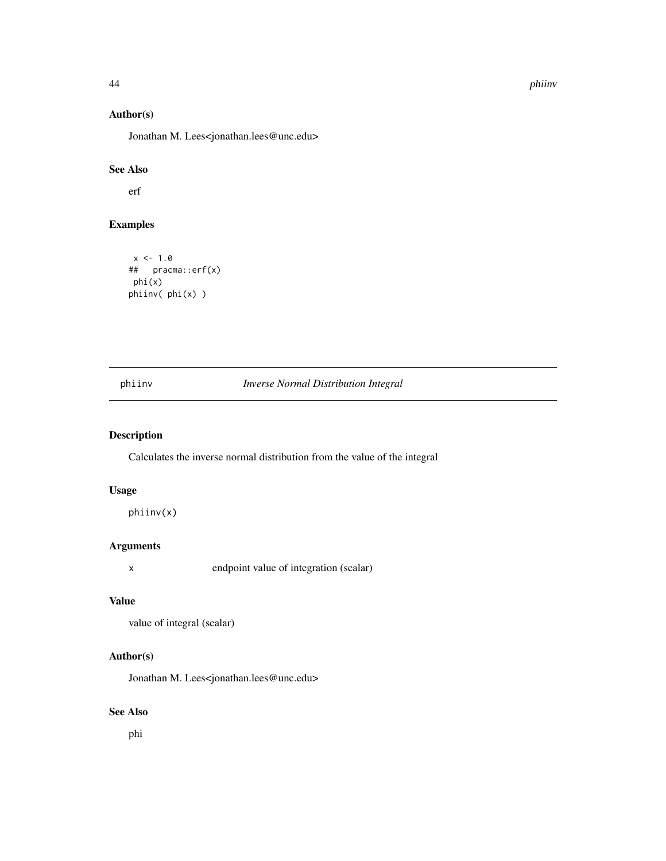44 phiinv

### Author(s)

Jonathan M. Lees<jonathan.lees@unc.edu>

### See Also

erf

### Examples

```
x < -1.0## pracma::erf(x)
phi(x)
phiinv( phi(x) )
```
### phiinv *Inverse Normal Distribution Integral*

### Description

Calculates the inverse normal distribution from the value of the integral

# Usage

phiinv(x)

### Arguments

x endpoint value of integration (scalar)

### Value

```
value of integral (scalar)
```
### Author(s)

Jonathan M. Lees<jonathan.lees@unc.edu>

#### See Also

phi

<span id="page-43-0"></span>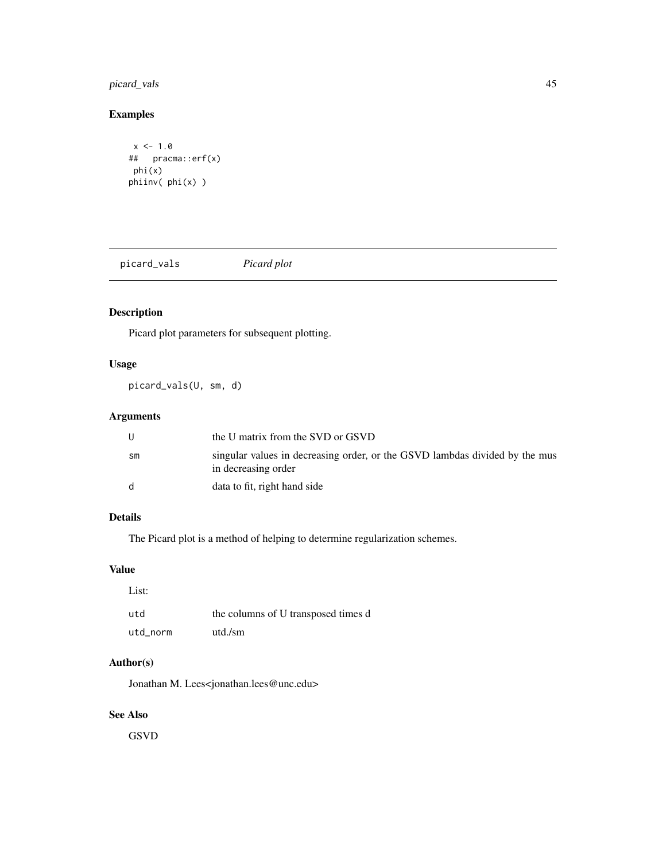# <span id="page-44-0"></span>picard\_vals 45

# Examples

```
x < -1.0## pracma::erf(x)
phi(x)
phiinv( phi(x) )
```
picard\_vals *Picard plot*

# Description

Picard plot parameters for subsequent plotting.

# Usage

picard\_vals(U, sm, d)

### Arguments

|               | the U matrix from the SVD or GSVD                                                                  |
|---------------|----------------------------------------------------------------------------------------------------|
| $\mathsf{sm}$ | singular values in decreasing order, or the GSVD lambdas divided by the mus<br>in decreasing order |
| d.            | data to fit, right hand side                                                                       |

# Details

The Picard plot is a method of helping to determine regularization schemes.

# Value

| List:    |                                     |
|----------|-------------------------------------|
| utd      | the columns of U transposed times d |
| utd norm | utd./sm                             |

### Author(s)

Jonathan M. Lees<jonathan.lees@unc.edu>

# See Also

GSVD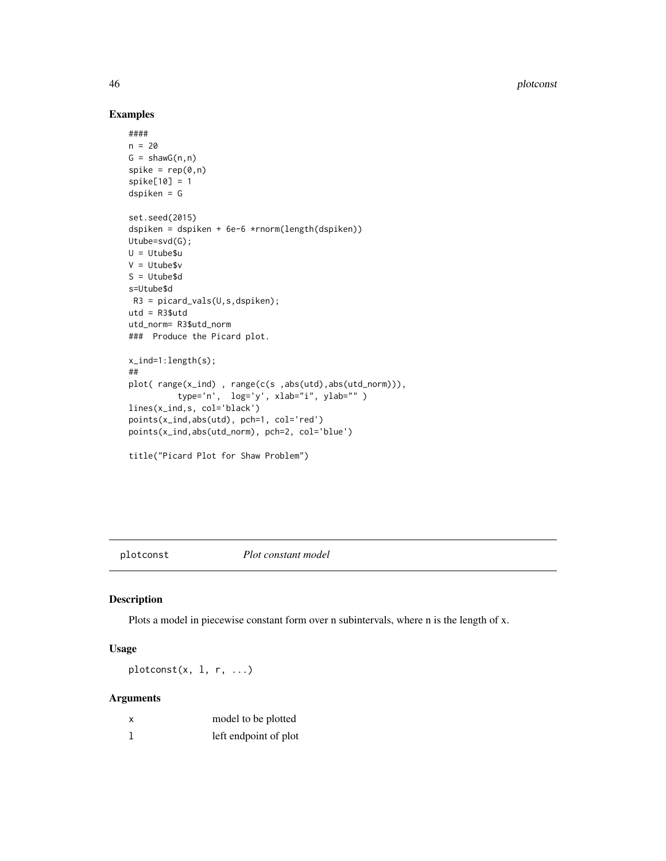# Examples

```
####
n = 20G = \text{shawG}(n, n)spike = rep(0, n)spike[10] = 1
dspiken = G
set.seed(2015)
dspiken = dspiken + 6e-6 *rnorm(length(dspiken))
Utube=svd(G);
U = Utube$u
V = Utube$v
S = Utube$d
s=Utube$d
R3 = picard_values(U, s, dspike);
utd = R3$utd
utd_norm= R3$utd_norm
### Produce the Picard plot.
x_ind=1:length(s);
##
plot( range(x_ind) , range(c(s ,abs(utd),abs(utd_norm))),
          type='n', log='y', xlab="i", ylab="" )
lines(x_ind,s, col='black')
points(x_ind,abs(utd), pch=1, col='red')
points(x_ind,abs(utd_norm), pch=2, col='blue')
title("Picard Plot for Shaw Problem")
```
plotconst *Plot constant model*

#### Description

Plots a model in piecewise constant form over n subintervals, where n is the length of x.

### Usage

 $plotconst(x, 1, r, ...)$ 

### Arguments

| X | model to be plotted   |
|---|-----------------------|
|   | left endpoint of plot |

<span id="page-45-0"></span>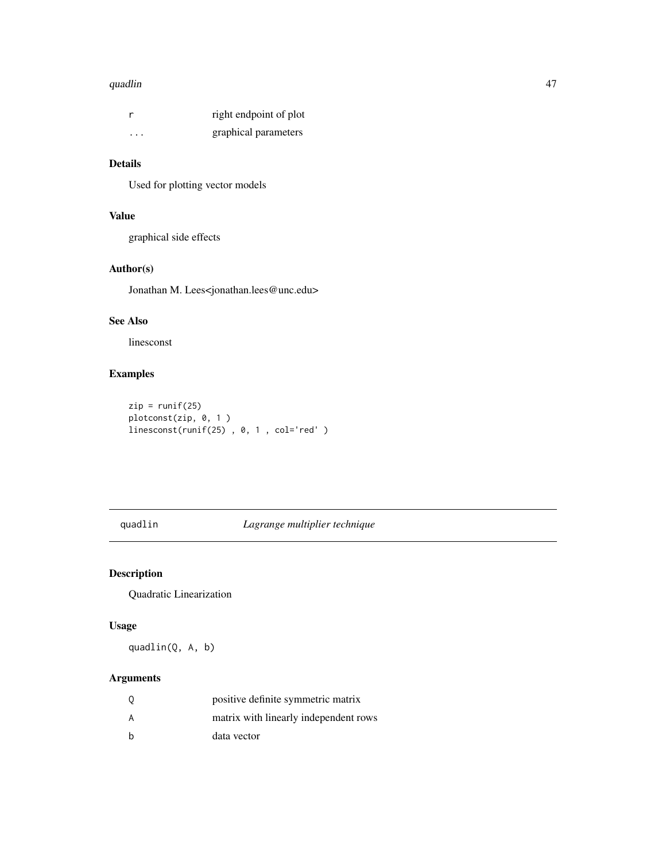#### <span id="page-46-0"></span>quadlin 47

|          | right endpoint of plot |
|----------|------------------------|
| $\cdots$ | graphical parameters   |

#### Details

Used for plotting vector models

# Value

graphical side effects

# Author(s)

Jonathan M. Lees<jonathan.lees@unc.edu>

### See Also

linesconst

### Examples

```
zip = runif(25)plotconst(zip, 0, 1 )
linesconst(runif(25) , 0, 1 , col='red' )
```
quadlin *Lagrange multiplier technique*

# Description

Quadratic Linearization

### Usage

quadlin(Q, A, b)

# Arguments

| -0  | positive definite symmetric matrix    |
|-----|---------------------------------------|
| A   | matrix with linearly independent rows |
| - h | data vector                           |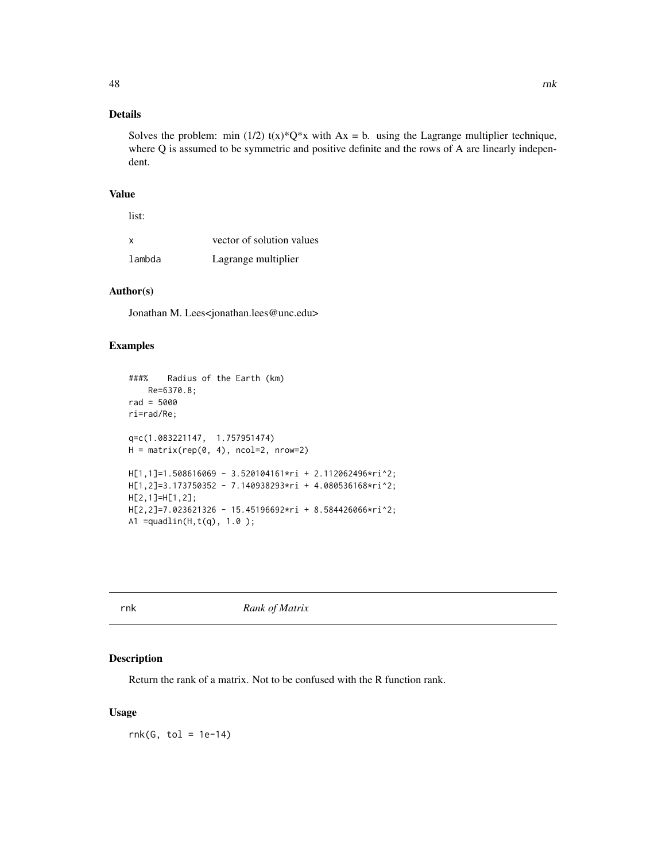# <span id="page-47-0"></span>Details

Solves the problem: min (1/2)  $t(x)*Q*x$  with  $Ax = b$ . using the Lagrange multiplier technique, where Q is assumed to be symmetric and positive definite and the rows of A are linearly independent.

#### Value

list:

| X      | vector of solution values |
|--------|---------------------------|
| lambda | Lagrange multiplier       |

### Author(s)

Jonathan M. Lees<jonathan.lees@unc.edu>

#### Examples

```
###% Radius of the Earth (km)
   Re=6370.8;
rad = 5000
ri=rad/Re;
q=c(1.083221147, 1.757951474)
H = matrix(rep(0, 4), ncol=2, nrow=2)H[1,1]=1.508616069 - 3.520104161*ri + 2.112062496*ri^2;
H[1,2]=3.173750352 - 7.140938293*ri + 4.080536168*ri^2;
H[2,1]=H[1,2];
H[2,2]=7.023621326 - 15.45196692*ri + 8.584426066*ri^2;
A1 =quadlin(H,t(q), 1.0);
```
rnk *Rank of Matrix*

#### Description

Return the rank of a matrix. Not to be confused with the R function rank.

### Usage

 $rnk(G, tol = 1e-14)$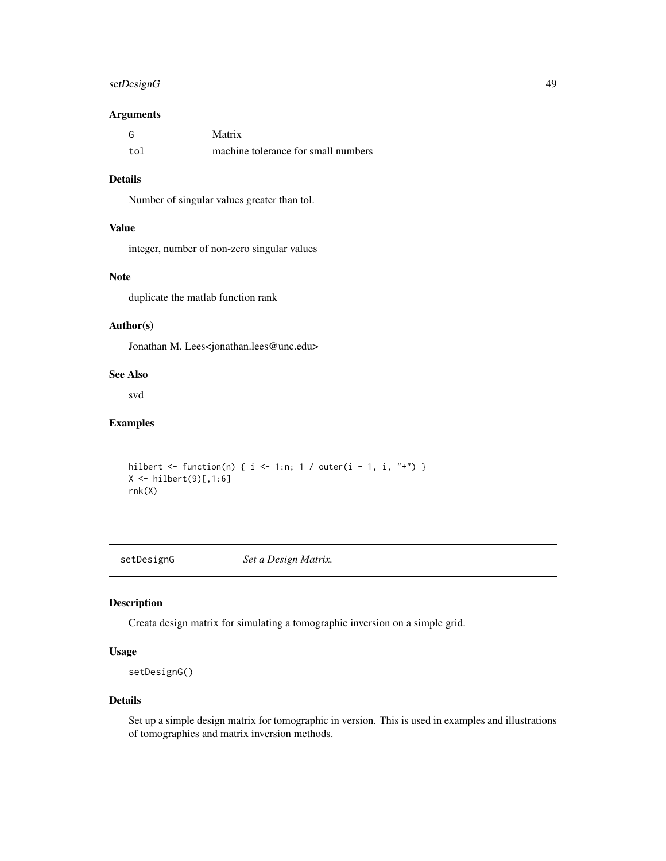### <span id="page-48-0"></span>setDesignG 49

#### Arguments

| G   | Matrix                              |
|-----|-------------------------------------|
| tol | machine tolerance for small numbers |

# Details

Number of singular values greater than tol.

### Value

integer, number of non-zero singular values

#### Note

duplicate the matlab function rank

### Author(s)

Jonathan M. Lees<jonathan.lees@unc.edu>

### See Also

svd

# Examples

```
hilbert <- function(n) { i <- 1:n; 1 / outer(i - 1, i, "+") }
X \leftarrow \text{hilbert}(9)[,1:6]rnk(X)
```
setDesignG *Set a Design Matrix.*

### Description

Creata design matrix for simulating a tomographic inversion on a simple grid.

### Usage

setDesignG()

#### Details

Set up a simple design matrix for tomographic in version. This is used in examples and illustrations of tomographics and matrix inversion methods.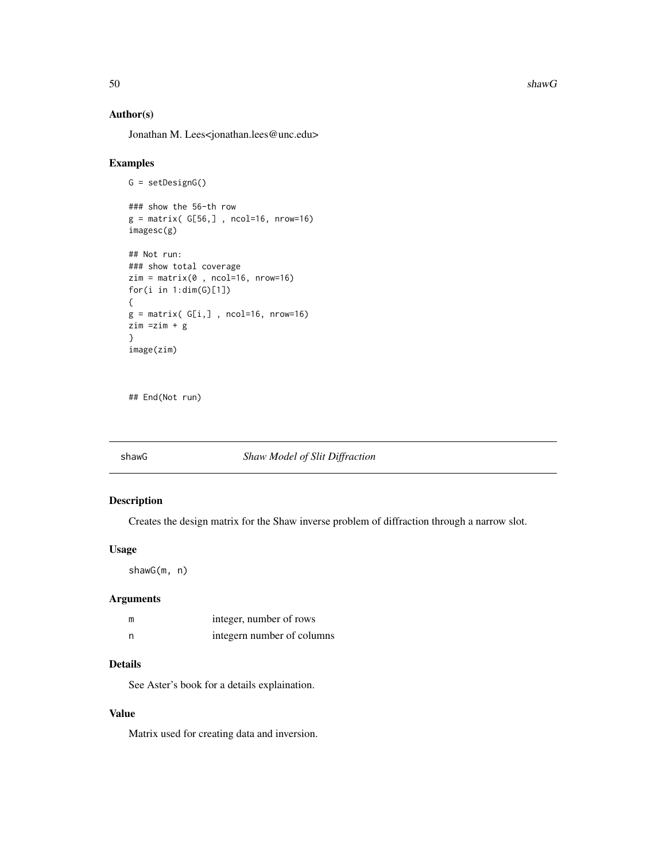<span id="page-49-0"></span> $50$  shawG

### Author(s)

Jonathan M. Lees<jonathan.lees@unc.edu>

#### Examples

```
G = setDesignG()
### show the 56-th row
g = matrix( G[56, ] , ncol=16, nrow=16)imagesc(g)
## Not run:
### show total coverage
zim = matrix(0, ncol=16, nrow=16)for(i in 1:dim(G)[1])
{
g = matrix( G[i, ] , ncol=16, nrow=16)zim =zim + g
}
image(zim)
```
## End(Not run)

### shawG *Shaw Model of Slit Diffraction*

### Description

Creates the design matrix for the Shaw inverse problem of diffraction through a narrow slot.

#### Usage

shawG(m, n)

#### Arguments

| m | integer, number of rows    |
|---|----------------------------|
| n | integern number of columns |

### Details

See Aster's book for a details explaination.

# Value

Matrix used for creating data and inversion.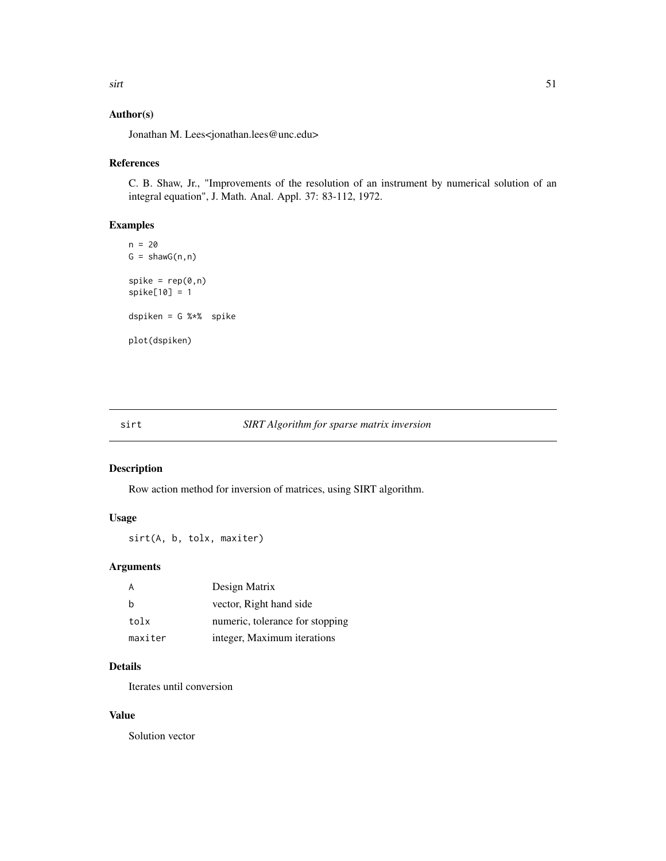# <span id="page-50-0"></span>Author(s)

Jonathan M. Lees<jonathan.lees@unc.edu>

### References

C. B. Shaw, Jr., "Improvements of the resolution of an instrument by numerical solution of an integral equation", J. Math. Anal. Appl. 37: 83-112, 1972.

#### Examples

```
n = 20G = \text{shawG}(n, n)spike = rep(0, n)spike[10] = 1
dspiken = G %*% spike
plot(dspiken)
```
### sirt *SIRT Algorithm for sparse matrix inversion*

### Description

Row action method for inversion of matrices, using SIRT algorithm.

### Usage

sirt(A, b, tolx, maxiter)

### Arguments

|         | Design Matrix                   |
|---------|---------------------------------|
| h       | vector, Right hand side         |
| tolx    | numeric, tolerance for stopping |
| maxiter | integer, Maximum iterations     |

### Details

Iterates until conversion

#### Value

Solution vector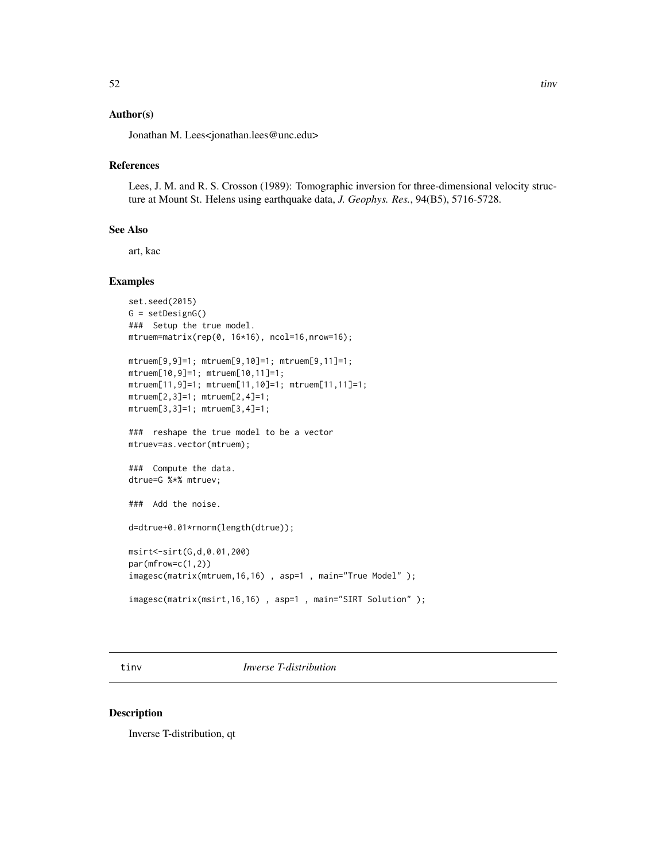### <span id="page-51-0"></span>Author(s)

Jonathan M. Lees<jonathan.lees@unc.edu>

#### References

Lees, J. M. and R. S. Crosson (1989): Tomographic inversion for three-dimensional velocity structure at Mount St. Helens using earthquake data, *J. Geophys. Res.*, 94(B5), 5716-5728.

#### See Also

art, kac

### Examples

```
set.seed(2015)
G = setDesignG()
### Setup the true model.
mtruem=matrix(rep(0, 16*16), ncol=16,nrow=16);
mtruem[9,9]=1; mtruem[9,10]=1; mtruem[9,11]=1;
mtruem[10,9]=1; mtruem[10,11]=1;
mtruem[11,9]=1; mtruem[11,10]=1; mtruem[11,11]=1;
mtruem[2,3]=1; mtruem[2,4]=1;
mtruem[3,3]=1; mtruem[3,4]=1;
### reshape the true model to be a vector
mtruev=as.vector(mtruem);
### Compute the data.
dtrue=G %*% mtruev;
### Add the noise.
d=dtrue+0.01*rnorm(length(dtrue));
msirt<-sirt(G,d,0.01,200)
par(mfrow=c(1,2))
imagesc(matrix(mtruem,16,16) , asp=1 , main="True Model" );
imagesc(matrix(msirt,16,16) , asp=1 , main="SIRT Solution" );
```
tinv *Inverse T-distribution*

#### Description

Inverse T-distribution, qt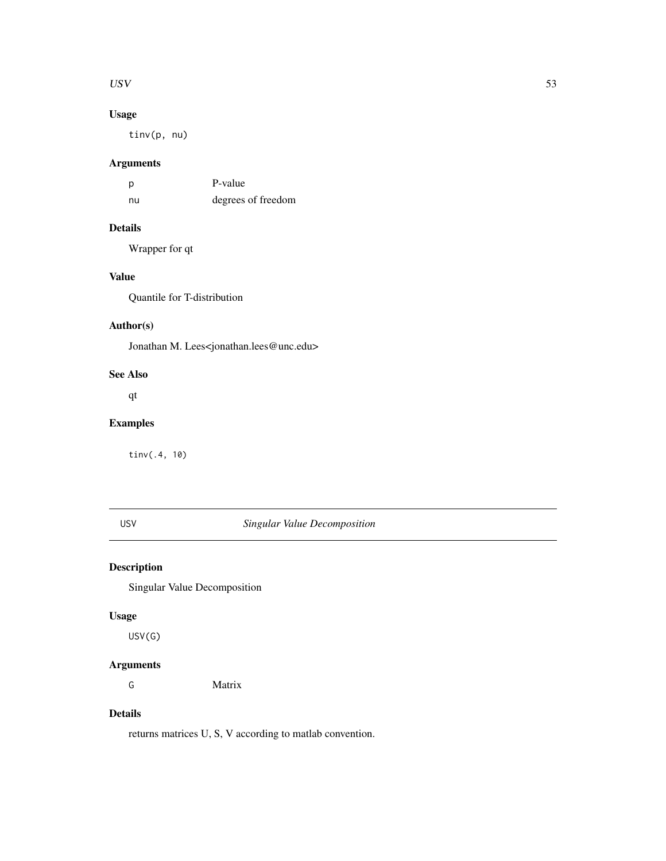#### <span id="page-52-0"></span> $USV$  53

# Usage

tinv(p, nu)

# Arguments

| p  | P-value            |
|----|--------------------|
| nu | degrees of freedom |

# Details

Wrapper for qt

# Value

Quantile for T-distribution

### Author(s)

Jonathan M. Lees<jonathan.lees@unc.edu>

#### See Also

qt

### Examples

tinv(.4, 10)

# USV *Singular Value Decomposition*

### Description

Singular Value Decomposition

#### Usage

USV(G)

# Arguments

G Matrix

# Details

returns matrices U, S, V according to matlab convention.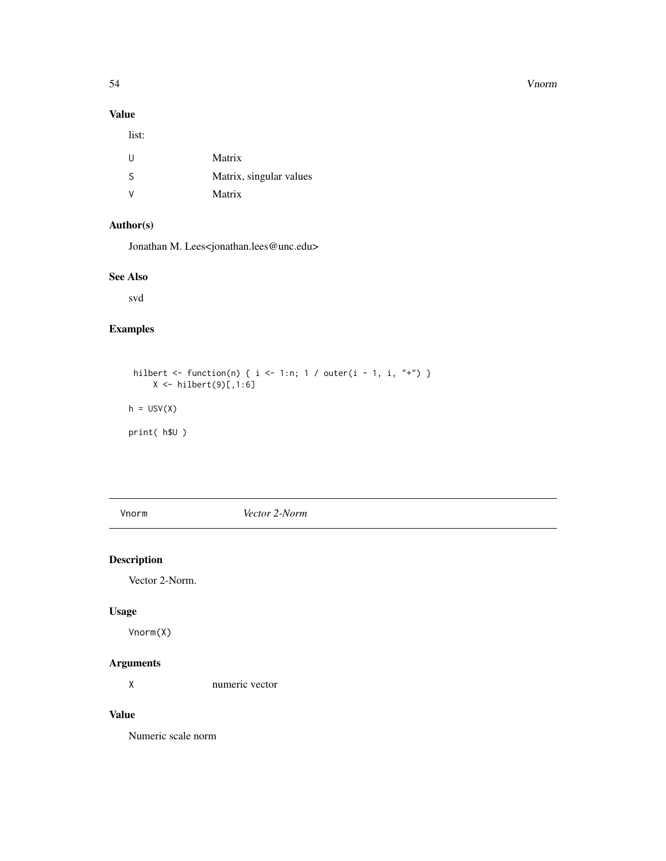#### 54 Vnorm

# Value

list:

| U            | Matrix                  |
|--------------|-------------------------|
| -S           | Matrix, singular values |
| <sup>V</sup> | Matrix                  |

### Author(s)

Jonathan M. Lees<jonathan.lees@unc.edu>

# See Also

svd

# Examples

```
hilbert <- function(n) { i <- 1:n; 1 / outer(i - 1, i, "+") }
     X \leftarrow \text{hilbert}(9)[,1:6]h = USV(X)print( h$U )
```
Vnorm *Vector 2-Norm*

# Description

Vector 2-Norm.

### Usage

Vnorm(X)

# Arguments

X numeric vector

### Value

Numeric scale norm

<span id="page-53-0"></span>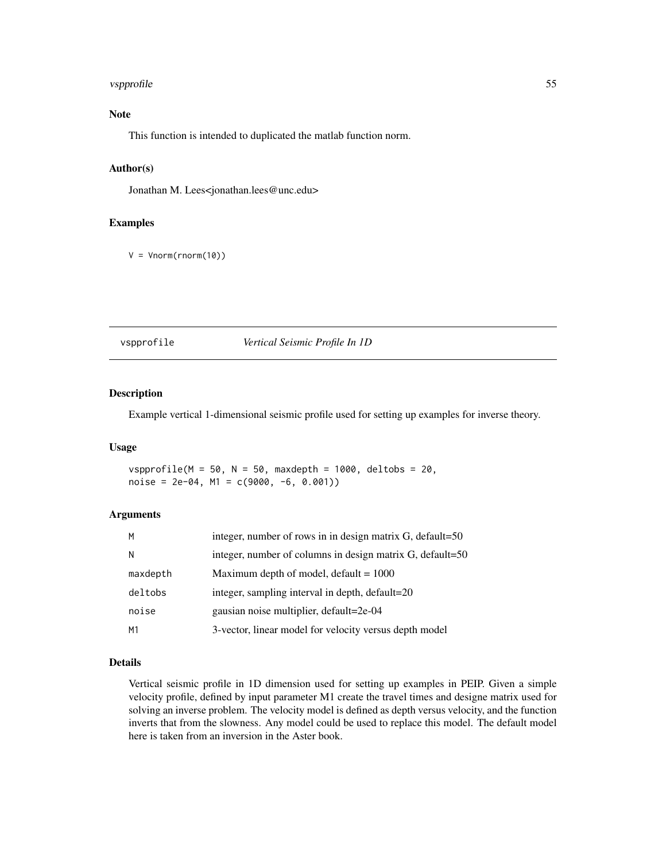#### <span id="page-54-0"></span>vspprofile 55

### Note

This function is intended to duplicated the matlab function norm.

#### Author(s)

Jonathan M. Lees<jonathan.lees@unc.edu>

### Examples

 $V = Vnorm(rnorm(10))$ 

vspprofile *Vertical Seismic Profile In 1D*

#### Description

Example vertical 1-dimensional seismic profile used for setting up examples for inverse theory.

#### Usage

vspprofile(M = 50, N = 50, maxdepth = 1000, deltobs = 20, noise = 2e-04, M1 =  $c(9000, -6, 0.001)$ 

#### Arguments

| M              | integer, number of rows in in design matrix G, default=50 |
|----------------|-----------------------------------------------------------|
| N              | integer, number of columns in design matrix G, default=50 |
| maxdepth       | Maximum depth of model, default $= 1000$                  |
| deltobs        | integer, sampling interval in depth, default=20           |
| noise          | gausian noise multiplier, default=2e-04                   |
| M <sub>1</sub> | 3-vector, linear model for velocity versus depth model    |

### Details

Vertical seismic profile in 1D dimension used for setting up examples in PEIP. Given a simple velocity profile, defined by input parameter M1 create the travel times and designe matrix used for solving an inverse problem. The velocity model is defined as depth versus velocity, and the function inverts that from the slowness. Any model could be used to replace this model. The default model here is taken from an inversion in the Aster book.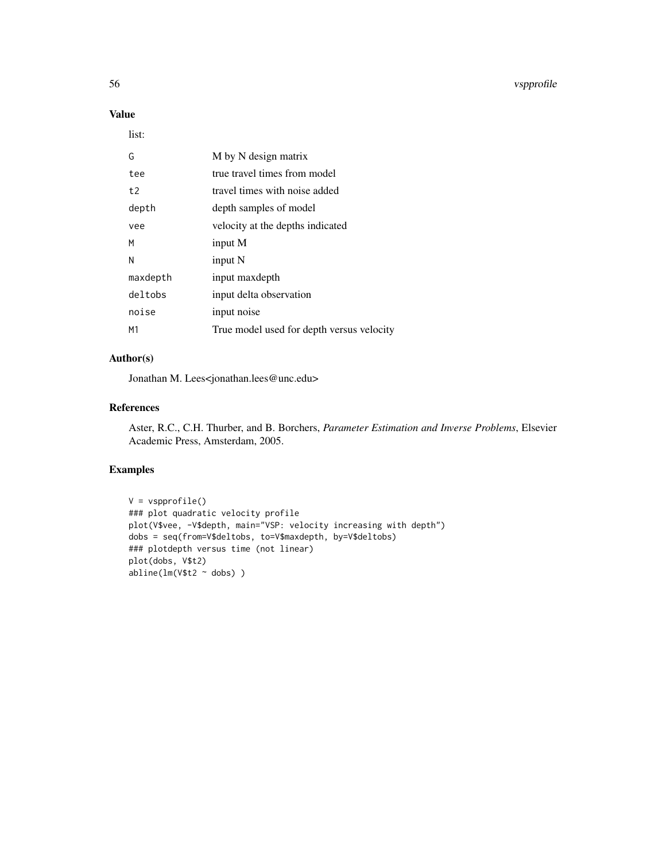# Value

list:

| G        | M by N design matrix                      |
|----------|-------------------------------------------|
| tee      | true travel times from model              |
| t2       | travel times with noise added             |
| depth    | depth samples of model                    |
| vee      | velocity at the depths indicated          |
| м        | input M                                   |
| N        | input N                                   |
| maxdepth | input maxdepth                            |
| deltobs  | input delta observation                   |
| noise    | input noise                               |
| M1       | True model used for depth versus velocity |

# Author(s)

Jonathan M. Lees<jonathan.lees@unc.edu>

### References

Aster, R.C., C.H. Thurber, and B. Borchers, *Parameter Estimation and Inverse Problems*, Elsevier Academic Press, Amsterdam, 2005.

### Examples

```
V = vspprofile()
### plot quadratic velocity profile
plot(V$vee, -V$depth, main="VSP: velocity increasing with depth")
dobs = seq(from=V$deltobs, to=V$maxdepth, by=V$deltobs)
### plotdepth versus time (not linear)
plot(dobs, V$t2)
abline(lm(V$t2 ~ dobs) )
```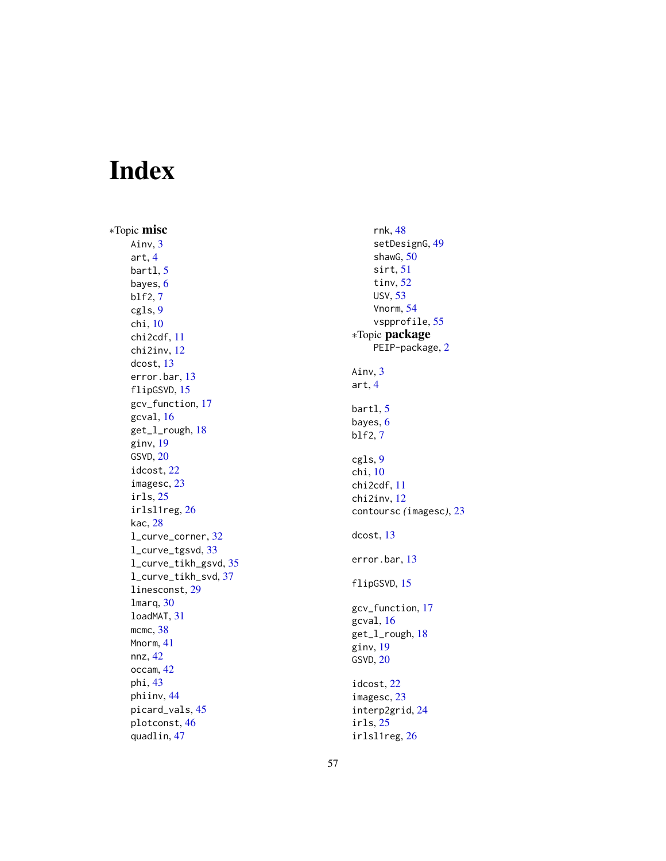# <span id="page-56-0"></span>Index

∗Topic misc Ainv, [3](#page-2-0) art , [4](#page-3-0) bartl , [5](#page-4-0) bayes , [6](#page-5-0) blf2 , [7](#page-6-0) cgls , [9](#page-8-0) chi , [10](#page-9-0) chi2cdf , [11](#page-10-0) chi2inv , [12](#page-11-0) dcost , [13](#page-12-0) error.bar , [13](#page-12-0) flipGSVD , [15](#page-14-0) gcv\_function , [17](#page-16-0) gcval , [16](#page-15-0) get\_l\_rough, [18](#page-17-0) ginv , [19](#page-18-0) GSVD , [20](#page-19-0) idcost , [22](#page-21-0) imagesc , [23](#page-22-0) irls , [25](#page-24-0) irlsl1reg , [26](#page-25-0) kac , [28](#page-27-0) l\_curve\_corner , [32](#page-31-0) l\_curve\_tgsvd , [33](#page-32-0) l\_curve\_tikh\_gsvd , [35](#page-34-0) l\_curve\_tikh\_svd , [37](#page-36-0) linesconst , [29](#page-28-0) lmarq , [30](#page-29-0) loadMAT , [31](#page-30-0) mcmc, [38](#page-37-0) Mnorm , [41](#page-40-0) nnz , [42](#page-41-0) occam , [42](#page-41-0) phi , [43](#page-42-0) phiinv , [44](#page-43-0) picard\_vals , [45](#page-44-0) plotconst , [46](#page-45-0) quadlin , [47](#page-46-0)

rnk , [48](#page-47-0) setDesignG , [49](#page-48-0) shawG, [50](#page-49-0) sirt , [51](#page-50-0) tinv , [52](#page-51-0) USV , [53](#page-52-0) Vnorm , [54](#page-53-0) vspprofile , [55](#page-54-0) ∗Topic package PEIP-package, [2](#page-1-0) Ainv, [3](#page-2-0) art , [4](#page-3-0) bartl, <mark>[5](#page-4-0)</mark> bayes, <mark>[6](#page-5-0)</mark> blf2 , [7](#page-6-0) cgls , [9](#page-8-0) chi , [10](#page-9-0) chi2cdf , [11](#page-10-0) chi2inv , [12](#page-11-0) contoursc *(*imagesc *)* , [23](#page-22-0) dcost , [13](#page-12-0) error.bar , [13](#page-12-0) flipGSVD , [15](#page-14-0) gcv\_function , [17](#page-16-0) gcval , [16](#page-15-0) get\_l\_rough , [18](#page-17-0) ginv , [19](#page-18-0) GSVD , [20](#page-19-0) idcost , [22](#page-21-0) imagesc , [23](#page-22-0) interp2grid , [24](#page-23-0) irls , [25](#page-24-0) irlsl1reg , [26](#page-25-0)